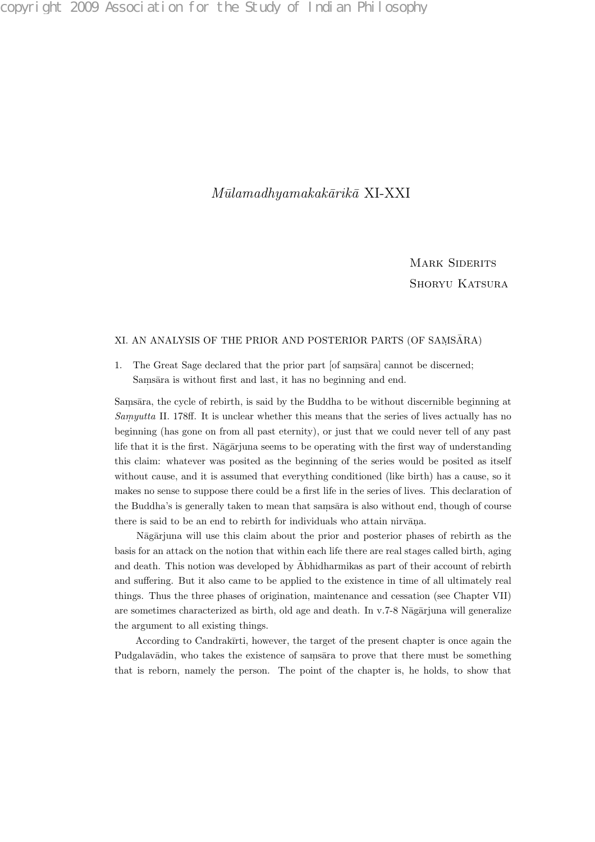copyright 2009 Association for the Study of Indian Philosophy

# *M¯ulamadhyamakak¯arik¯a* XI-XXI

**MARK SIDERITS** Shoryu Katsura

#### XI. AN ANALYSIS OF THE PRIOR AND POSTERIOR PARTS (OF SAMSĀRA)

1. The Great Sage declared that the prior part [of samsara] cannot be discerned; Samsāra is without first and last, it has no beginning and end.

Samsāra, the cycle of rebirth, is said by the Buddha to be without discernible beginning at *Samyutta* II. 178ff. It is unclear whether this means that the series of lives actually has no beginning (has gone on from all past eternity), or just that we could never tell of any past life that it is the first. Nagarjuna seems to be operating with the first way of understanding this claim: whatever was posited as the beginning of the series would be posited as itself without cause, and it is assumed that everything conditioned (like birth) has a cause, so it makes no sense to suppose there could be a first life in the series of lives. This declaration of the Buddha's is generally taken to mean that samsara is also without end, though of course there is said to be an end to rebirth for individuals who attain nirvana.

Nāgārjuna will use this claim about the prior and posterior phases of rebirth as the basis for an attack on the notion that within each life there are real stages called birth, aging and death. This notion was developed by  $\bar{A}$ bhidharmikas as part of their account of rebirth and suffering. But it also came to be applied to the existence in time of all ultimately real things. Thus the three phases of origination, maintenance and cessation (see Chapter VII) are sometimes characterized as birth, old age and death. In v.7-8 Nāgārjuna will generalize the argument to all existing things.

According to Candrakūrti, however, the target of the present chapter is once again the Pudgalavādin, who takes the existence of samsāra to prove that there must be something that is reborn, namely the person. The point of the chapter is, he holds, to show that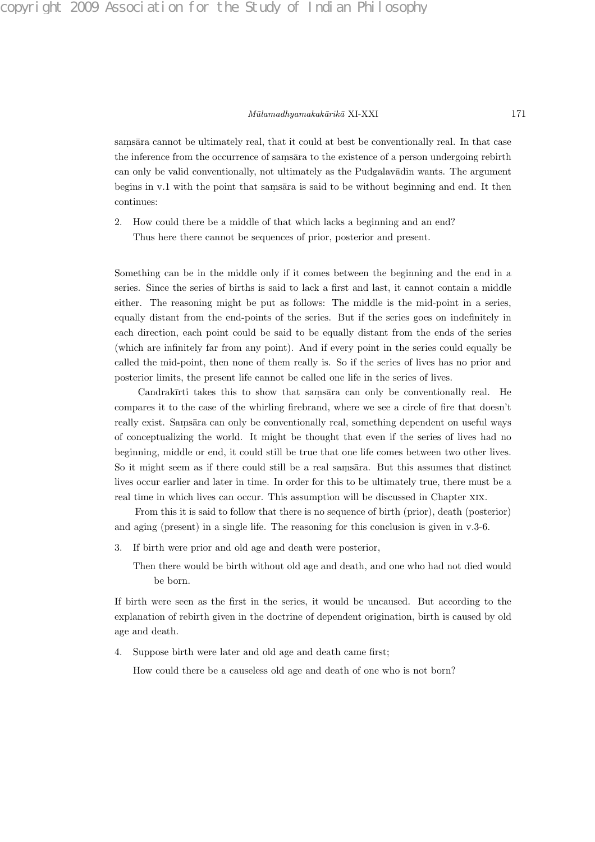samsāra cannot be ultimately real, that it could at best be conventionally real. In that case the inference from the occurrence of samsara to the existence of a person undergoing rebirth can only be valid conventionally, not ultimately as the Pudgalav $\bar{a}$ din wants. The argument begins in v.1 with the point that samsara is said to be without beginning and end. It then continues:

2. How could there be a middle of that which lacks a beginning and an end? Thus here there cannot be sequences of prior, posterior and present.

Something can be in the middle only if it comes between the beginning and the end in a series. Since the series of births is said to lack a first and last, it cannot contain a middle either. The reasoning might be put as follows: The middle is the mid-point in a series, equally distant from the end-points of the series. But if the series goes on indefinitely in each direction, each point could be said to be equally distant from the ends of the series (which are infinitely far from any point). And if every point in the series could equally be called the mid-point, then none of them really is. So if the series of lives has no prior and posterior limits, the present life cannot be called one life in the series of lives.

Candrakīrti takes this to show that samsara can only be conventionally real. He compares it to the case of the whirling firebrand, where we see a circle of fire that doesn't really exist. Samsāra can only be conventionally real, something dependent on useful ways of conceptualizing the world. It might be thought that even if the series of lives had no beginning, middle or end, it could still be true that one life comes between two other lives. So it might seem as if there could still be a real samsara. But this assumes that distinct lives occur earlier and later in time. In order for this to be ultimately true, there must be a real time in which lives can occur. This assumption will be discussed in Chapter xix.

 From this it is said to follow that there is no sequence of birth (prior), death (posterior) and aging (present) in a single life. The reasoning for this conclusion is given in v.3-6.

- 3. If birth were prior and old age and death were posterior,
	- Then there would be birth without old age and death, and one who had not died would be born.

If birth were seen as the first in the series, it would be uncaused. But according to the explanation of rebirth given in the doctrine of dependent origination, birth is caused by old age and death.

4. Suppose birth were later and old age and death came first;

How could there be a causeless old age and death of one who is not born?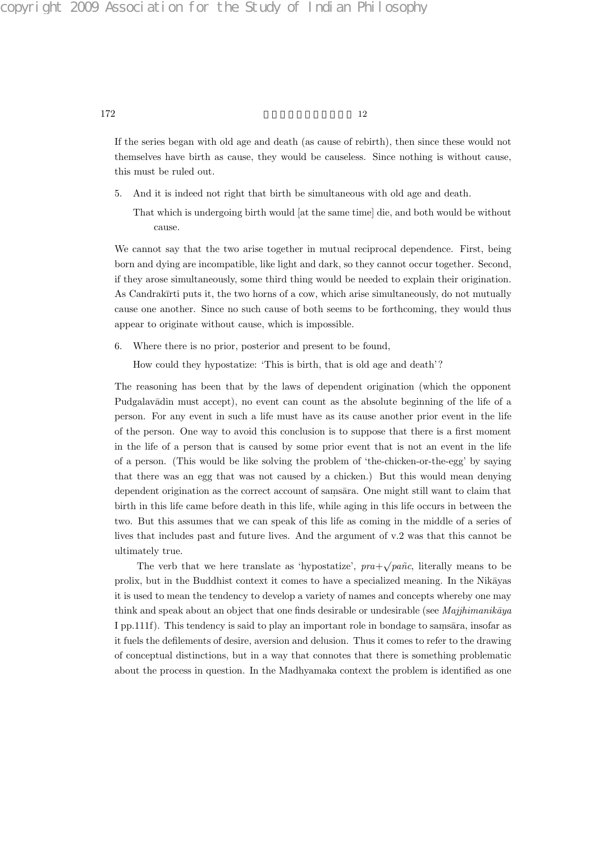If the series began with old age and death (as cause of rebirth), then since these would not themselves have birth as cause, they would be causeless. Since nothing is without cause, this must be ruled out.

- 5. And it is indeed not right that birth be simultaneous with old age and death.
	- That which is undergoing birth would [at the same time] die, and both would be without cause.

We cannot say that the two arise together in mutual reciprocal dependence. First, being born and dying are incompatible, like light and dark, so they cannot occur together. Second, if they arose simultaneously, some third thing would be needed to explain their origination. As Candrakūrti puts it, the two horns of a cow, which arise simultaneously, do not mutually cause one another. Since no such cause of both seems to be forthcoming, they would thus appear to originate without cause, which is impossible.

6. Where there is no prior, posterior and present to be found,

How could they hypostatize: 'This is birth, that is old age and death'?

The reasoning has been that by the laws of dependent origination (which the opponent Pudgalavādin must accept), no event can count as the absolute beginning of the life of a person. For any event in such a life must have as its cause another prior event in the life of the person. One way to avoid this conclusion is to suppose that there is a first moment in the life of a person that is caused by some prior event that is not an event in the life of a person. (This would be like solving the problem of 'the-chicken-or-the-egg' by saying that there was an egg that was not caused by a chicken.) But this would mean denying dependent origination as the correct account of samsara. One might still want to claim that birth in this life came before death in this life, while aging in this life occurs in between the two. But this assumes that we can speak of this life as coming in the middle of a series of lives that includes past and future lives. And the argument of v.2 was that this cannot be ultimately true.

The verb that we here translate as 'hypostatize',  $p r a + \sqrt{p a} \tilde{n} c$ , literally means to be prolix, but in the Buddhist context it comes to have a specialized meaning. In the Nikāyas it is used to mean the tendency to develop a variety of names and concepts whereby one may think and speak about an object that one finds desirable or undesirable (see *Majjhimanikāya* I pp.111f). This tendency is said to play an important role in bondage to samsara, insofar as it fuels the defilements of desire, aversion and delusion. Thus it comes to refer to the drawing of conceptual distinctions, but in a way that connotes that there is something problematic about the process in question. In the Madhyamaka context the problem is identified as one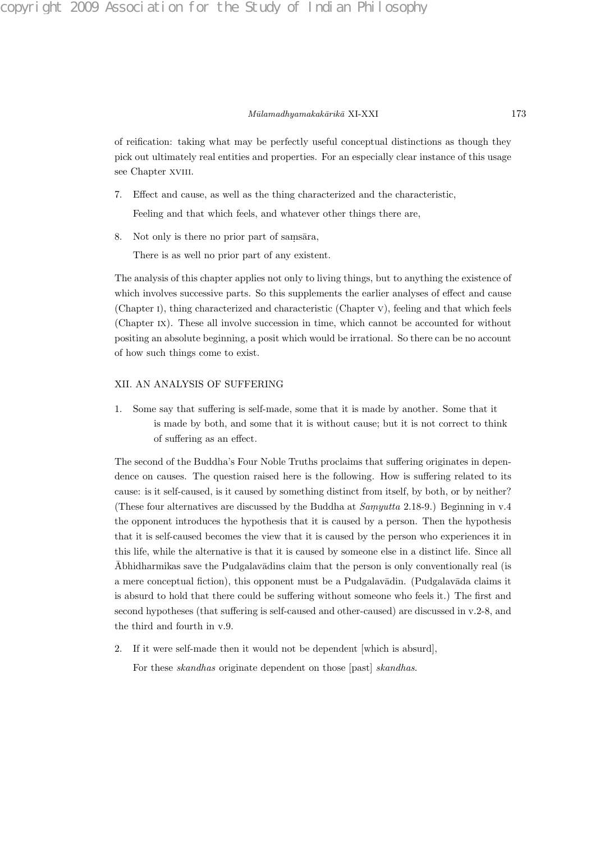## *M¯ulamadhyamakak¯arik¯a* XI-XXI 173

of reification: taking what may be perfectly useful conceptual distinctions as though they pick out ultimately real entities and properties. For an especially clear instance of this usage see Chapter XVIII.

7. Effect and cause, as well as the thing characterized and the characteristic,

Feeling and that which feels, and whatever other things there are,

8. Not only is there no prior part of samsara,

There is as well no prior part of any existent.

The analysis of this chapter applies not only to living things, but to anything the existence of which involves successive parts. So this supplements the earlier analyses of effect and cause (Chapter i), thing characterized and characteristic (Chapter v), feeling and that which feels (Chapter ix). These all involve succession in time, which cannot be accounted for without positing an absolute beginning, a posit which would be irrational. So there can be no account of how such things come to exist.

#### XII. AN ANALYSIS OF SUFFERING

1. Some say that suffering is self-made, some that it is made by another. Some that it is made by both, and some that it is without cause; but it is not correct to think of suffering as an effect.

The second of the Buddha's Four Noble Truths proclaims that suffering originates in dependence on causes. The question raised here is the following. How is suffering related to its cause: is it self-caused, is it caused by something distinct from itself, by both, or by neither? (These four alternatives are discussed by the Buddha at *Samyutta* 2.18-9.) Beginning in v.4 the opponent introduces the hypothesis that it is caused by a person. Then the hypothesis that it is self-caused becomes the view that it is caused by the person who experiences it in this life, while the alternative is that it is caused by someone else in a distinct life. Since all  $\overline{A}$ bhidharmikas save the Pudgalav $\overline{a}$ dins claim that the person is only conventionally real (is a mere conceptual fiction), this opponent must be a Pudgalav $\bar{a}$ din. (Pudgalav $\bar{a}$ da claims it is absurd to hold that there could be suffering without someone who feels it.) The first and second hypotheses (that suffering is self-caused and other-caused) are discussed in v.2-8, and the third and fourth in v.9.

2. If it were self-made then it would not be dependent [which is absurd],

For these *skandhas* originate dependent on those [past] *skandhas*.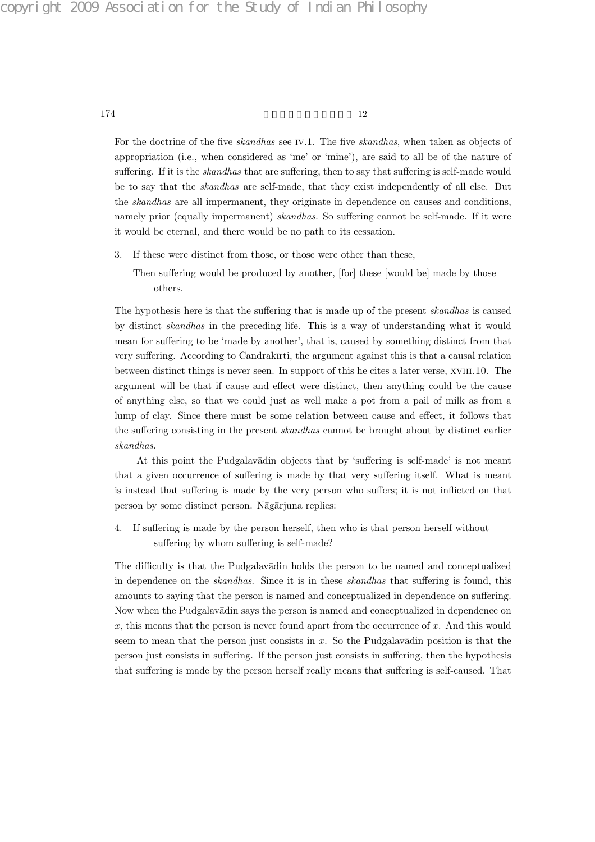For the doctrine of the five *skandhas* see iv.1. The five *skandhas*, when taken as objects of appropriation (i.e., when considered as 'me' or 'mine'), are said to all be of the nature of suffering. If it is the *skandhas* that are suffering, then to say that suffering is self-made would be to say that the *skandhas* are self-made, that they exist independently of all else. But the *skandhas* are all impermanent, they originate in dependence on causes and conditions, namely prior (equally impermanent) *skandhas*. So suffering cannot be self-made. If it were it would be eternal, and there would be no path to its cessation.

- 3. If these were distinct from those, or those were other than these,
	- Then suffering would be produced by another, [for] these [would be] made by those others.

The hypothesis here is that the suffering that is made up of the present *skandhas* is caused by distinct *skandhas* in the preceding life. This is a way of understanding what it would mean for suffering to be 'made by another', that is, caused by something distinct from that very suffering. According to Candrakīrti, the argument against this is that a causal relation between distinct things is never seen. In support of this he cites a later verse, xviii.10. The argument will be that if cause and effect were distinct, then anything could be the cause of anything else, so that we could just as well make a pot from a pail of milk as from a lump of clay. Since there must be some relation between cause and effect, it follows that the suffering consisting in the present *skandhas* cannot be brought about by distinct earlier *skandhas*.

At this point the Pudgalavadin objects that by 'suffering is self-made' is not meant that a given occurrence of suffering is made by that very suffering itself. What is meant is instead that suffering is made by the very person who suffers; it is not inflicted on that person by some distinct person. Nāgāriuna replies:

4. If suffering is made by the person herself, then who is that person herself without suffering by whom suffering is self-made?

The difficulty is that the Pudgalavadin holds the person to be named and conceptualized in dependence on the *skandhas*. Since it is in these *skandhas* that suffering is found, this amounts to saying that the person is named and conceptualized in dependence on suffering. Now when the Pudgalavadin says the person is named and conceptualized in dependence on *x*, this means that the person is never found apart from the occurrence of *x*. And this would seem to mean that the person just consists in  $x$ . So the Pudgalavadin position is that the person just consists in suffering. If the person just consists in suffering, then the hypothesis that suffering is made by the person herself really means that suffering is self-caused. That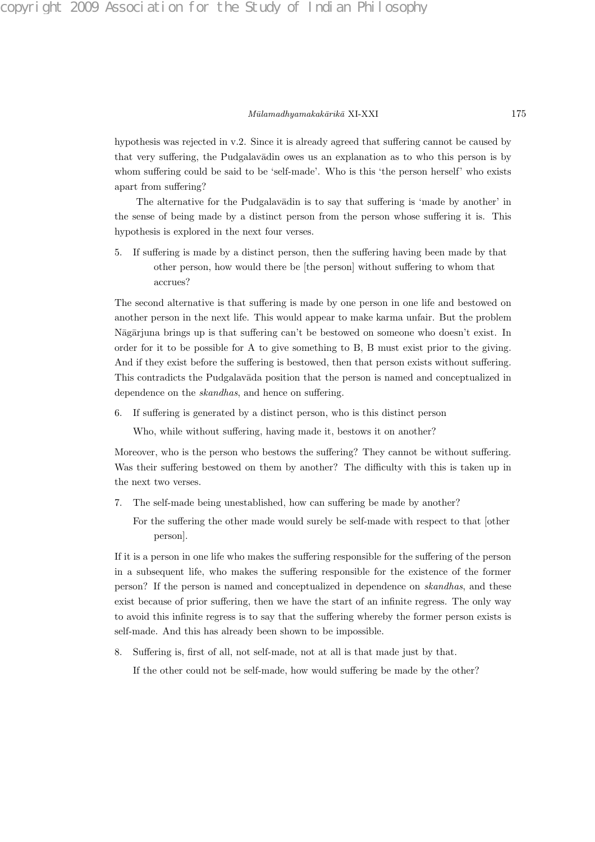hypothesis was rejected in v.2. Since it is already agreed that suffering cannot be caused by that very suffering, the Pudgalavadin owes us an explanation as to who this person is by whom suffering could be said to be 'self-made'. Who is this 'the person herself' who exists apart from suffering?

The alternative for the Pudgalavadin is to say that suffering is 'made by another' in the sense of being made by a distinct person from the person whose suffering it is. This hypothesis is explored in the next four verses.

5. If suffering is made by a distinct person, then the suffering having been made by that other person, how would there be [the person] without suffering to whom that accrues?

The second alternative is that suffering is made by one person in one life and bestowed on another person in the next life. This would appear to make karma unfair. But the problem Nāgārjuna brings up is that suffering can't be bestowed on someone who doesn't exist. In order for it to be possible for A to give something to B, B must exist prior to the giving. And if they exist before the suffering is bestowed, then that person exists without suffering. This contradicts the Pudgalavada position that the person is named and conceptualized in dependence on the *skandhas*, and hence on suffering.

6. If suffering is generated by a distinct person, who is this distinct person

Who, while without suffering, having made it, bestows it on another?

Moreover, who is the person who bestows the suffering? They cannot be without suffering. Was their suffering bestowed on them by another? The difficulty with this is taken up in the next two verses.

- 7. The self-made being unestablished, how can suffering be made by another?
	- For the suffering the other made would surely be self-made with respect to that [other person].

If it is a person in one life who makes the suffering responsible for the suffering of the person in a subsequent life, who makes the suffering responsible for the existence of the former person? If the person is named and conceptualized in dependence on *skandhas*, and these exist because of prior suffering, then we have the start of an infinite regress. The only way to avoid this infinite regress is to say that the suffering whereby the former person exists is self-made. And this has already been shown to be impossible.

8. Suffering is, first of all, not self-made, not at all is that made just by that.

If the other could not be self-made, how would suffering be made by the other?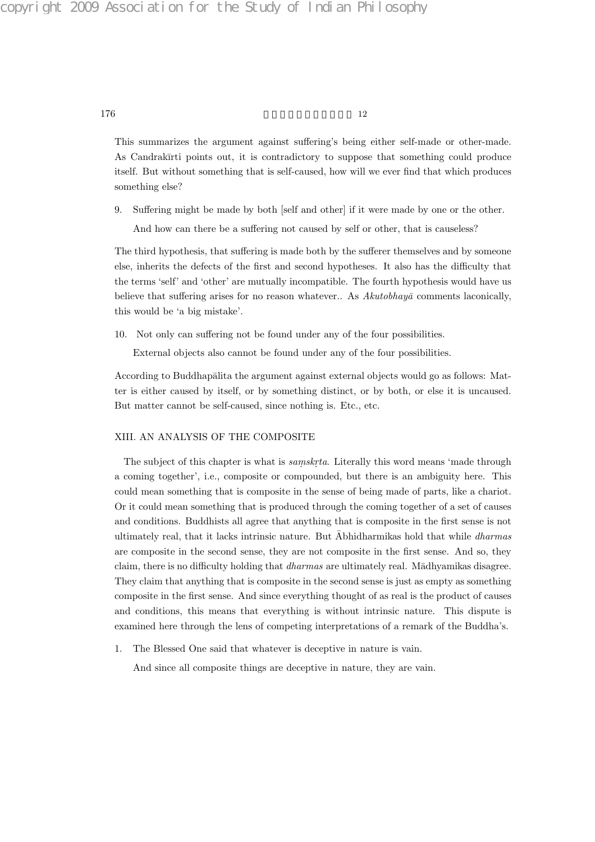This summarizes the argument against suffering's being either self-made or other-made. As Candrakūrti points out, it is contradictory to suppose that something could produce itself. But without something that is self-caused, how will we ever find that which produces something else?

9. Suffering might be made by both [self and other] if it were made by one or the other.

And how can there be a suffering not caused by self or other, that is causeless?

The third hypothesis, that suffering is made both by the sufferer themselves and by someone else, inherits the defects of the first and second hypotheses. It also has the difficulty that the terms 'self' and 'other' are mutually incompatible. The fourth hypothesis would have us believe that suffering arises for no reason whatever.. As *Akutobhaya* comments laconically, this would be 'a big mistake'.

10. Not only can suffering not be found under any of the four possibilities.

External objects also cannot be found under any of the four possibilities.

According to Buddhapalita the argument against external objects would go as follows: Matter is either caused by itself, or by something distinct, or by both, or else it is uncaused. But matter cannot be self-caused, since nothing is. Etc., etc.

## XIII. AN ANALYSIS OF THE COMPOSITE

The subject of this chapter is what is *samskrta*. Literally this word means 'made through a coming together', i.e., composite or compounded, but there is an ambiguity here. This could mean something that is composite in the sense of being made of parts, like a chariot. Or it could mean something that is produced through the coming together of a set of causes and conditions. Buddhists all agree that anything that is composite in the first sense is not ultimately real, that it lacks intrinsic nature. But Abhidharmikas hold that while *dharmas* are composite in the second sense, they are not composite in the first sense. And so, they claim, there is no difficulty holding that *dharmas* are ultimately real. Madhyamikas disagree. They claim that anything that is composite in the second sense is just as empty as something composite in the first sense. And since everything thought of as real is the product of causes and conditions, this means that everything is without intrinsic nature. This dispute is examined here through the lens of competing interpretations of a remark of the Buddha's.

1. The Blessed One said that whatever is deceptive in nature is vain.

And since all composite things are deceptive in nature, they are vain.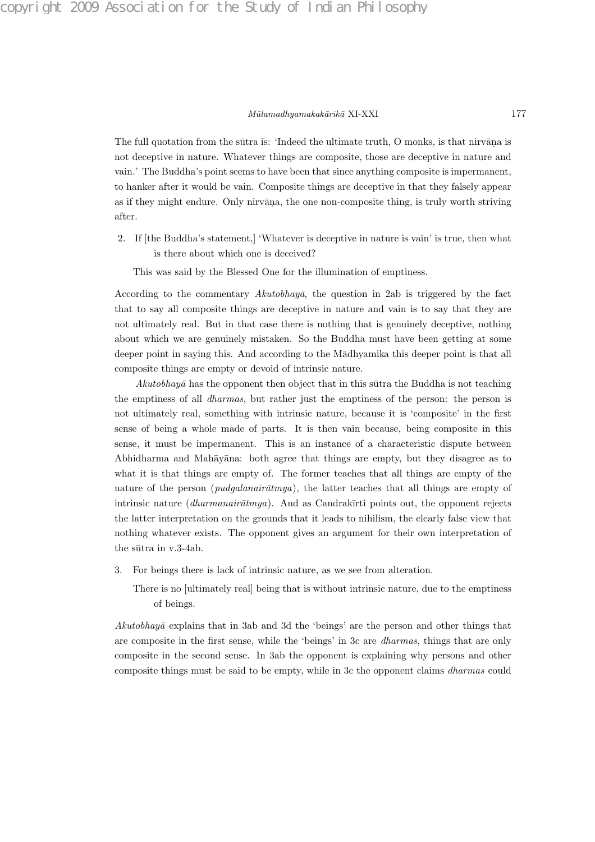The full quotation from the sūtra is: 'Indeed the ultimate truth, O monks, is that nirvāna is not deceptive in nature. Whatever things are composite, those are deceptive in nature and vain.' The Buddha's point seems to have been that since anything composite is impermanent, to hanker after it would be vain. Composite things are deceptive in that they falsely appear as if they might endure. Only nirvana, the one non-composite thing, is truly worth striving after.

2. If [the Buddha's statement,] 'Whatever is deceptive in nature is vain' is true, then what is there about which one is deceived?

This was said by the Blessed One for the illumination of emptiness.

According to the commentary *Akutobhayā*, the question in 2ab is triggered by the fact that to say all composite things are deceptive in nature and vain is to say that they are not ultimately real. But in that case there is nothing that is genuinely deceptive, nothing about which we are genuinely mistaken. So the Buddha must have been getting at some deeper point in saying this. And according to the Madhyamika this deeper point is that all composite things are empty or devoid of intrinsic nature.

 $Akutobhay\bar{a}$  has the opponent then object that in this sūtra the Buddha is not teaching the emptiness of all *dharmas*, but rather just the emptiness of the person: the person is not ultimately real, something with intrinsic nature, because it is 'composite' in the first sense of being a whole made of parts. It is then vain because, being composite in this sense, it must be impermanent. This is an instance of a characteristic dispute between Abhidharma and Mahāyāna: both agree that things are empty, but they disagree as to what it is that things are empty of. The former teaches that all things are empty of the nature of the person *(pudgalanair* $\bar{a}$ *tmya*), the latter teaches that all things are empty of intrinsic nature *(dharmanair* $\bar{a}$ *tmya*). And as Candrakūrti points out, the opponent rejects the latter interpretation on the grounds that it leads to nihilism, the clearly false view that nothing whatever exists. The opponent gives an argument for their own interpretation of the sūtra in  $v.3-4ab$ .

3. For beings there is lack of intrinsic nature, as we see from alteration.

There is no [ultimately real] being that is without intrinsic nature, due to the emptiness of beings.

*Akutobhayā* explains that in 3ab and 3d the 'beings' are the person and other things that are composite in the first sense, while the 'beings' in 3c are *dharmas*, things that are only composite in the second sense. In 3ab the opponent is explaining why persons and other composite things must be said to be empty, while in 3c the opponent claims *dharmas* could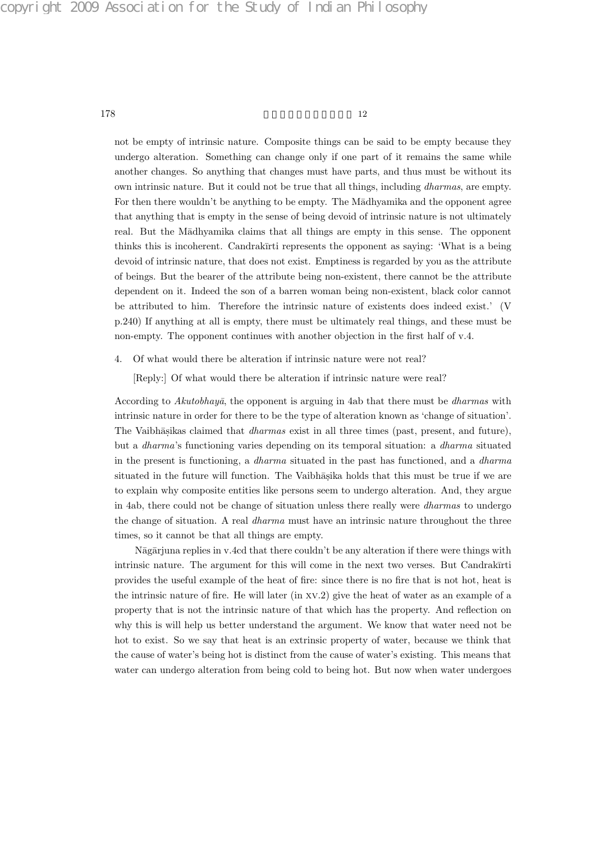not be empty of intrinsic nature. Composite things can be said to be empty because they undergo alteration. Something can change only if one part of it remains the same while another changes. So anything that changes must have parts, and thus must be without its own intrinsic nature. But it could not be true that all things, including *dharmas*, are empty. For then there wouldn't be anything to be empty. The M $\bar{a}$ dhyamika and the opponent agree that anything that is empty in the sense of being devoid of intrinsic nature is not ultimately real. But the M¯adhyamika claims that all things are empty in this sense. The opponent thinks this is incoherent. Candrakūrti represents the opponent as saying: 'What is a being devoid of intrinsic nature, that does not exist. Emptiness is regarded by you as the attribute of beings. But the bearer of the attribute being non-existent, there cannot be the attribute dependent on it. Indeed the son of a barren woman being non-existent, black color cannot be attributed to him. Therefore the intrinsic nature of existents does indeed exist.' (V p.240) If anything at all is empty, there must be ultimately real things, and these must be non-empty. The opponent continues with another objection in the first half of v.4.

4. Of what would there be alteration if intrinsic nature were not real?

[Reply:] Of what would there be alteration if intrinsic nature were real?

According to *Akutobhay¯a*, the opponent is arguing in 4ab that there must be *dharmas* with intrinsic nature in order for there to be the type of alteration known as 'change of situation'. The Vaibhāṣikas claimed that *dharmas* exist in all three times (past, present, and future), but a *dharma*'s functioning varies depending on its temporal situation: a *dharma* situated in the present is functioning, a *dharma* situated in the past has functioned, and a *dharma* situated in the future will function. The Vaibhāṣika holds that this must be true if we are to explain why composite entities like persons seem to undergo alteration. And, they argue in 4ab, there could not be change of situation unless there really were *dharmas* to undergo the change of situation. A real *dharma* must have an intrinsic nature throughout the three times, so it cannot be that all things are empty.

Nāgārjuna replies in v.4cd that there couldn't be any alteration if there were things with intrinsic nature. The argument for this will come in the next two verses. But Candrakūrti provides the useful example of the heat of fire: since there is no fire that is not hot, heat is the intrinsic nature of fire. He will later (in xv.2) give the heat of water as an example of a property that is not the intrinsic nature of that which has the property. And reflection on why this is will help us better understand the argument. We know that water need not be hot to exist. So we say that heat is an extrinsic property of water, because we think that the cause of water's being hot is distinct from the cause of water's existing. This means that water can undergo alteration from being cold to being hot. But now when water undergoes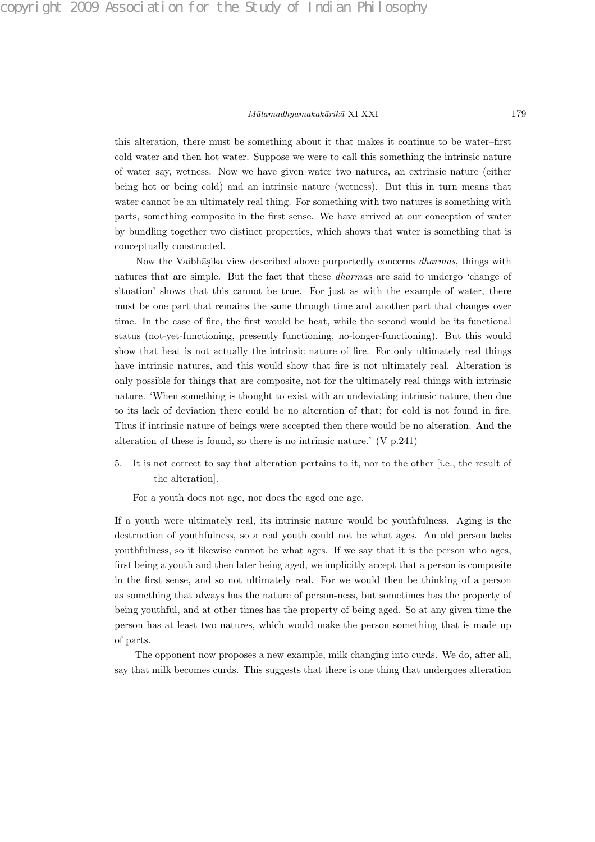this alteration, there must be something about it that makes it continue to be water–first cold water and then hot water. Suppose we were to call this something the intrinsic nature of water–say, wetness. Now we have given water two natures, an extrinsic nature (either being hot or being cold) and an intrinsic nature (wetness). But this in turn means that water cannot be an ultimately real thing. For something with two natures is something with parts, something composite in the first sense. We have arrived at our conception of water by bundling together two distinct properties, which shows that water is something that is conceptually constructed.

Now the Vaibhasika view described above purportedly concerns *dharmas*, things with natures that are simple. But the fact that these *dharma*s are said to undergo 'change of situation' shows that this cannot be true. For just as with the example of water, there must be one part that remains the same through time and another part that changes over time. In the case of fire, the first would be heat, while the second would be its functional status (not-yet-functioning, presently functioning, no-longer-functioning). But this would show that heat is not actually the intrinsic nature of fire. For only ultimately real things have intrinsic natures, and this would show that fire is not ultimately real. Alteration is only possible for things that are composite, not for the ultimately real things with intrinsic nature. 'When something is thought to exist with an undeviating intrinsic nature, then due to its lack of deviation there could be no alteration of that; for cold is not found in fire. Thus if intrinsic nature of beings were accepted then there would be no alteration. And the alteration of these is found, so there is no intrinsic nature.' (V p.241)

5. It is not correct to say that alteration pertains to it, nor to the other [i.e., the result of the alteration].

For a youth does not age, nor does the aged one age.

If a youth were ultimately real, its intrinsic nature would be youthfulness. Aging is the destruction of youthfulness, so a real youth could not be what ages. An old person lacks youthfulness, so it likewise cannot be what ages. If we say that it is the person who ages, first being a youth and then later being aged, we implicitly accept that a person is composite in the first sense, and so not ultimately real. For we would then be thinking of a person as something that always has the nature of person-ness, but sometimes has the property of being youthful, and at other times has the property of being aged. So at any given time the person has at least two natures, which would make the person something that is made up of parts.

 The opponent now proposes a new example, milk changing into curds. We do, after all, say that milk becomes curds. This suggests that there is one thing that undergoes alteration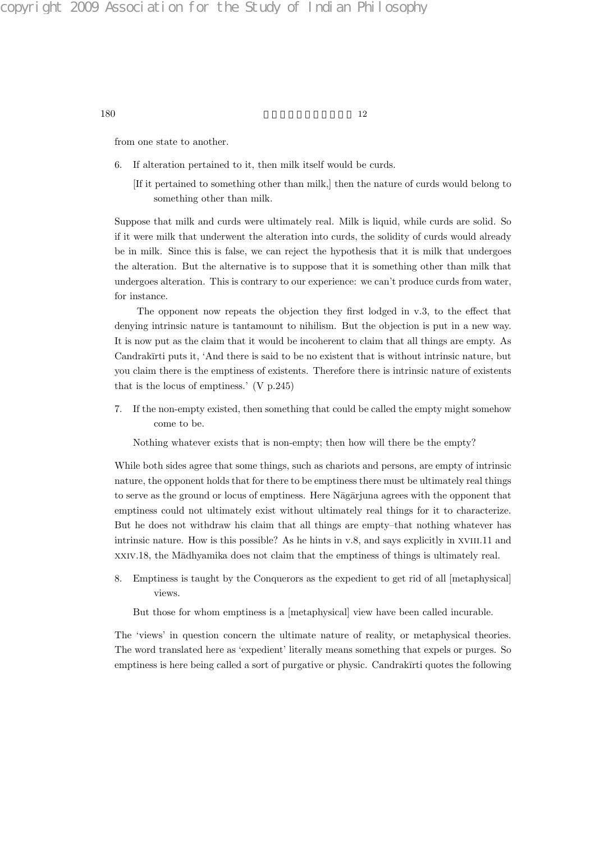from one state to another.

- 6. If alteration pertained to it, then milk itself would be curds.
	- [If it pertained to something other than milk,] then the nature of curds would belong to something other than milk.

Suppose that milk and curds were ultimately real. Milk is liquid, while curds are solid. So if it were milk that underwent the alteration into curds, the solidity of curds would already be in milk. Since this is false, we can reject the hypothesis that it is milk that undergoes the alteration. But the alternative is to suppose that it is something other than milk that undergoes alteration. This is contrary to our experience: we can't produce curds from water, for instance.

 The opponent now repeats the objection they first lodged in v.3, to the effect that denying intrinsic nature is tantamount to nihilism. But the objection is put in a new way. It is now put as the claim that it would be incoherent to claim that all things are empty. As Candrak $\overline{\text{r}}$ rti puts it, 'And there is said to be no existent that is without intrinsic nature, but you claim there is the emptiness of existents. Therefore there is intrinsic nature of existents that is the locus of emptiness.' (V p.245)

7. If the non-empty existed, then something that could be called the empty might somehow come to be.

Nothing whatever exists that is non-empty; then how will there be the empty?

While both sides agree that some things, such as chariots and persons, are empty of intrinsic nature, the opponent holds that for there to be emptiness there must be ultimately real things to serve as the ground or locus of emptiness. Here Nagazijuna agrees with the opponent that emptiness could not ultimately exist without ultimately real things for it to characterize. But he does not withdraw his claim that all things are empty–that nothing whatever has intrinsic nature. How is this possible? As he hints in  $v.8$ , and says explicitly in XVIII.11 and xxiv.18, the M¯adhyamika does not claim that the emptiness of things is ultimately real.

8. Emptiness is taught by the Conquerors as the expedient to get rid of all [metaphysical] views.

But those for whom emptiness is a [metaphysical] view have been called incurable.

The 'views' in question concern the ultimate nature of reality, or metaphysical theories. The word translated here as 'expedient' literally means something that expels or purges. So emptiness is here being called a sort of purgative or physic. Candrak $\overline{\text{rrt}}$  quotes the following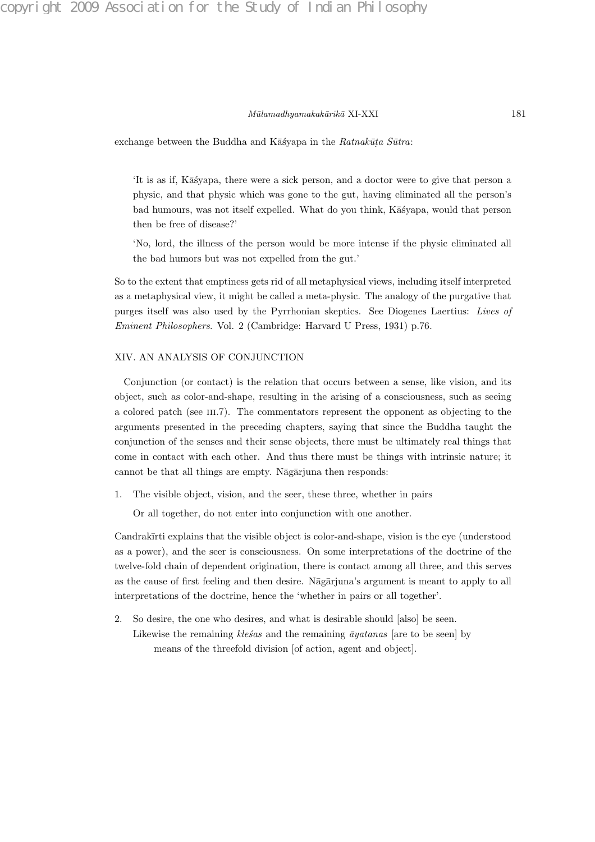exchange between the Buddha and Kāśyapa in the *Ratnakūta Sūtra*:

'It is as if, K¯a´syapa, there were a sick person, and a doctor were to give that person a physic, and that physic which was gone to the gut, having eliminated all the person's bad humours, was not itself expelled. What do you think, Kāšyapa, would that person then be free of disease?'

'No, lord, the illness of the person would be more intense if the physic eliminated all the bad humors but was not expelled from the gut.'

So to the extent that emptiness gets rid of all metaphysical views, including itself interpreted as a metaphysical view, it might be called a meta-physic. The analogy of the purgative that purges itself was also used by the Pyrrhonian skeptics. See Diogenes Laertius: *Lives of Eminent Philosophers*. Vol. 2 (Cambridge: Harvard U Press, 1931) p.76.

## XIV. AN ANALYSIS OF CONJUNCTION

Conjunction (or contact) is the relation that occurs between a sense, like vision, and its object, such as color-and-shape, resulting in the arising of a consciousness, such as seeing a colored patch (see iii.7). The commentators represent the opponent as objecting to the arguments presented in the preceding chapters, saying that since the Buddha taught the conjunction of the senses and their sense objects, there must be ultimately real things that come in contact with each other. And thus there must be things with intrinsic nature; it cannot be that all things are empty. Nāgārjuna then responds:

1. The visible object, vision, and the seer, these three, whether in pairs

Or all together, do not enter into conjunction with one another.

Candrak $\overline{\text{r}}$ rti explains that the visible object is color-and-shape, vision is the eye (understood as a power), and the seer is consciousness. On some interpretations of the doctrine of the twelve-fold chain of dependent origination, there is contact among all three, and this serves as the cause of first feeling and then desire. Nagarjuna's argument is meant to apply to all interpretations of the doctrine, hence the 'whether in pairs or all together'.

2. So desire, the one who desires, and what is desirable should [also] be seen. Likewise the remaining *kles<sup>as*</sup> and the remaining  $\bar{a}yatanas$  [are to be seen] by means of the threefold division [of action, agent and object].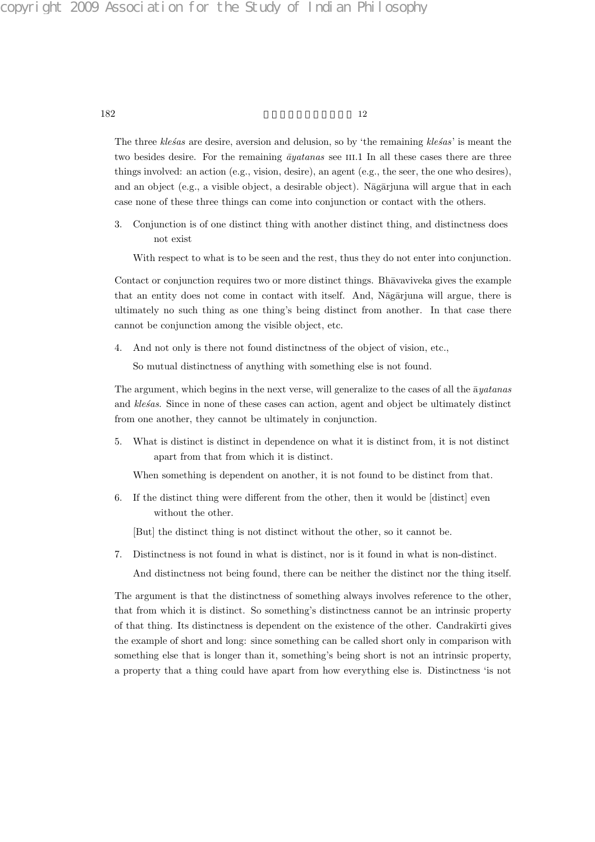The three *kles<sup>as*</sup> are desire, aversion and delusion, so by 'the remaining *kles<sup>as*</sup>' is meant the two besides desire. For the remaining  $\bar{a}yatanas$  see III.1 In all these cases there are three things involved: an action (e.g., vision, desire), an agent (e.g., the seer, the one who desires), and an object (e.g., a visible object, a desirable object). Naga $\bar{a}$ rjuna will argue that in each case none of these three things can come into conjunction or contact with the others.

3. Conjunction is of one distinct thing with another distinct thing, and distinctness does not exist

With respect to what is to be seen and the rest, thus they do not enter into conjunction.

Contact or conjunction requires two or more distinct things. Bhavaviveka gives the example that an entity does not come in contact with itself. And, Nagariuna will argue, there is ultimately no such thing as one thing's being distinct from another. In that case there cannot be conjunction among the visible object, etc.

4. And not only is there not found distinctness of the object of vision, etc.,

So mutual distinctness of anything with something else is not found.

The argument, which begins in the next verse, will generalize to the cases of all the  $\bar{a}yatanas$ and *kles<sup>i</sup>as*. Since in none of these cases can action, agent and object be ultimately distinct from one another, they cannot be ultimately in conjunction.

5. What is distinct is distinct in dependence on what it is distinct from, it is not distinct apart from that from which it is distinct.

When something is dependent on another, it is not found to be distinct from that.

6. If the distinct thing were different from the other, then it would be [distinct] even without the other.

[But] the distinct thing is not distinct without the other, so it cannot be.

7. Distinctness is not found in what is distinct, nor is it found in what is non-distinct.

And distinctness not being found, there can be neither the distinct nor the thing itself.

The argument is that the distinctness of something always involves reference to the other, that from which it is distinct. So something's distinctness cannot be an intrinsic property of that thing. Its distinctness is dependent on the existence of the other. Candrakūrti gives the example of short and long: since something can be called short only in comparison with something else that is longer than it, something's being short is not an intrinsic property, a property that a thing could have apart from how everything else is. Distinctness 'is not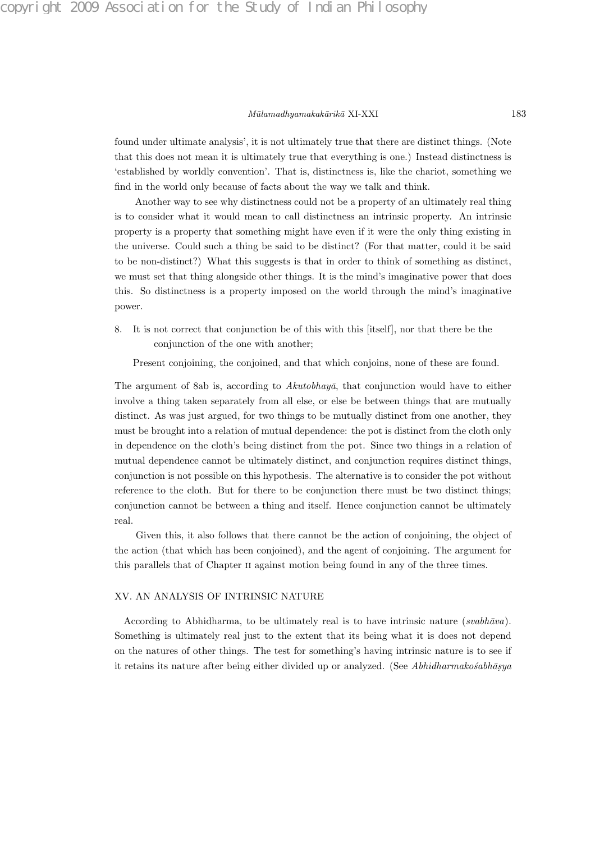found under ultimate analysis', it is not ultimately true that there are distinct things. (Note that this does not mean it is ultimately true that everything is one.) Instead distinctness is 'established by worldly convention'. That is, distinctness is, like the chariot, something we find in the world only because of facts about the way we talk and think.

 Another way to see why distinctness could not be a property of an ultimately real thing is to consider what it would mean to call distinctness an intrinsic property. An intrinsic property is a property that something might have even if it were the only thing existing in the universe. Could such a thing be said to be distinct? (For that matter, could it be said to be non-distinct?) What this suggests is that in order to think of something as distinct, we must set that thing alongside other things. It is the mind's imaginative power that does this. So distinctness is a property imposed on the world through the mind's imaginative power.

8. It is not correct that conjunction be of this with this [itself], nor that there be the conjunction of the one with another;

Present conjoining, the conjoined, and that which conjoins, none of these are found.

The argument of 8ab is, according to *Akutobhayā*, that conjunction would have to either involve a thing taken separately from all else, or else be between things that are mutually distinct. As was just argued, for two things to be mutually distinct from one another, they must be brought into a relation of mutual dependence: the pot is distinct from the cloth only in dependence on the cloth's being distinct from the pot. Since two things in a relation of mutual dependence cannot be ultimately distinct, and conjunction requires distinct things, conjunction is not possible on this hypothesis. The alternative is to consider the pot without reference to the cloth. But for there to be conjunction there must be two distinct things; conjunction cannot be between a thing and itself. Hence conjunction cannot be ultimately real.

 Given this, it also follows that there cannot be the action of conjoining, the object of the action (that which has been conjoined), and the agent of conjoining. The argument for this parallels that of Chapter ii against motion being found in any of the three times.

## XV. AN ANALYSIS OF INTRINSIC NATURE

According to Abhidharma, to be ultimately real is to have intrinsic nature (*svabhava*). Something is ultimately real just to the extent that its being what it is does not depend on the natures of other things. The test for something's having intrinsic nature is to see if it retains its nature after being either divided up or analyzed. (See *Abhidharmakosabhāsya*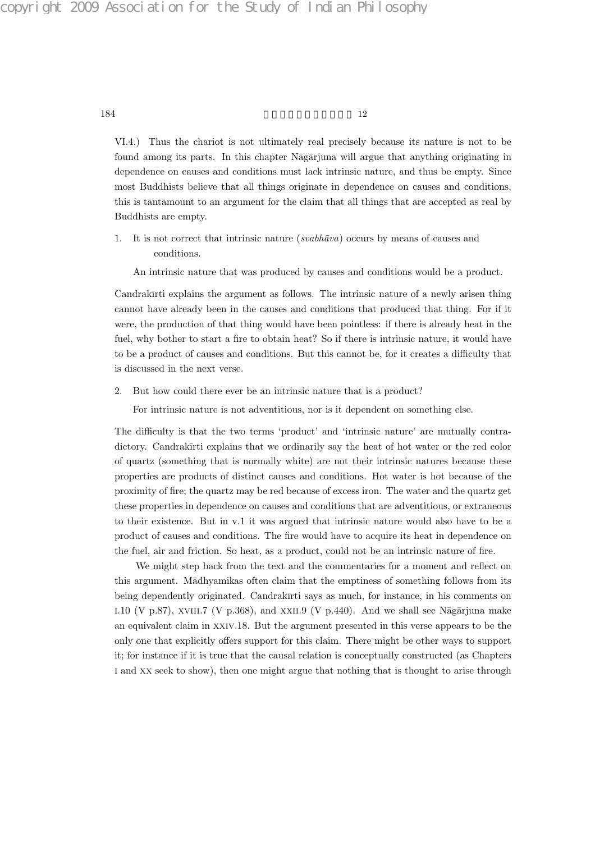VI.4.) Thus the chariot is not ultimately real precisely because its nature is not to be found among its parts. In this chapter Nagarjuna will argue that anything originating in dependence on causes and conditions must lack intrinsic nature, and thus be empty. Since most Buddhists believe that all things originate in dependence on causes and conditions, this is tantamount to an argument for the claim that all things that are accepted as real by Buddhists are empty.

1. It is not correct that intrinsic nature *(svabhava)* occurs by means of causes and conditions.

An intrinsic nature that was produced by causes and conditions would be a product.

Candrakūrti explains the argument as follows. The intrinsic nature of a newly arisen thing cannot have already been in the causes and conditions that produced that thing. For if it were, the production of that thing would have been pointless: if there is already heat in the fuel, why bother to start a fire to obtain heat? So if there is intrinsic nature, it would have to be a product of causes and conditions. But this cannot be, for it creates a difficulty that is discussed in the next verse.

2. But how could there ever be an intrinsic nature that is a product?

For intrinsic nature is not adventitious, nor is it dependent on something else.

The difficulty is that the two terms 'product' and 'intrinsic nature' are mutually contradictory. Candrakūrti explains that we ordinarily say the heat of hot water or the red color of quartz (something that is normally white) are not their intrinsic natures because these properties are products of distinct causes and conditions. Hot water is hot because of the proximity of fire; the quartz may be red because of excess iron. The water and the quartz get these properties in dependence on causes and conditions that are adventitious, or extraneous to their existence. But in v.1 it was argued that intrinsic nature would also have to be a product of causes and conditions. The fire would have to acquire its heat in dependence on the fuel, air and friction. So heat, as a product, could not be an intrinsic nature of fire.

 We might step back from the text and the commentaries for a moment and reflect on this argument. Madhyamikas often claim that the emptiness of something follows from its being dependently originated. Candrakīrti says as much, for instance, in his comments on  $1.10$  (V p.87), XVIII.7 (V p.368), and XXII.9 (V p.440). And we shall see N $\bar{a}$ g $\bar{a}$ rjuna make an equivalent claim in xxiv.18. But the argument presented in this verse appears to be the only one that explicitly offers support for this claim. There might be other ways to support it; for instance if it is true that the causal relation is conceptually constructed (as Chapters i and xx seek to show), then one might argue that nothing that is thought to arise through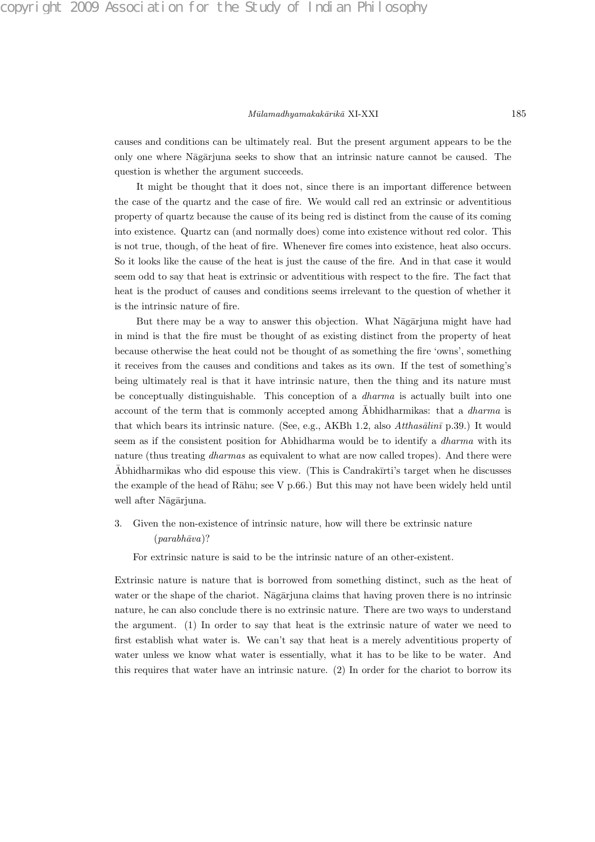causes and conditions can be ultimately real. But the present argument appears to be the only one where Nāgārjuna seeks to show that an intrinsic nature cannot be caused. The question is whether the argument succeeds.

 It might be thought that it does not, since there is an important difference between the case of the quartz and the case of fire. We would call red an extrinsic or adventitious property of quartz because the cause of its being red is distinct from the cause of its coming into existence. Quartz can (and normally does) come into existence without red color. This is not true, though, of the heat of fire. Whenever fire comes into existence, heat also occurs. So it looks like the cause of the heat is just the cause of the fire. And in that case it would seem odd to say that heat is extrinsic or adventitious with respect to the fire. The fact that heat is the product of causes and conditions seems irrelevant to the question of whether it is the intrinsic nature of fire.

But there may be a way to answer this objection. What Nagarjuna might have had in mind is that the fire must be thought of as existing distinct from the property of heat because otherwise the heat could not be thought of as something the fire 'owns', something it receives from the causes and conditions and takes as its own. If the test of something's being ultimately real is that it have intrinsic nature, then the thing and its nature must be conceptually distinguishable. This conception of a *dharma* is actually built into one account of the term that is commonly accepted among  $\overline{A}$  bhidharmikas: that a *dharma* is that which bears its intrinsic nature. (See, e.g., AKBh 1.2, also *Atthas¯alin¯ı* p.39.) It would seem as if the consistent position for Abhidharma would be to identify a *dharma* with its nature (thus treating *dharmas* as equivalent to what are now called tropes). And there were  $\bar{A}$ bhidharmikas who did espouse this view. (This is Candrakūrti's target when he discusses the example of the head of R $\bar{a}$ hu; see V p.66.) But this may not have been widely held until well after Nāgārjuna.

3. Given the non-existence of intrinsic nature, how will there be extrinsic nature  $(\text{parab}h\bar{a}va)?$ 

For extrinsic nature is said to be the intrinsic nature of an other-existent.

Extrinsic nature is nature that is borrowed from something distinct, such as the heat of water or the shape of the chariot. Nagarjuna claims that having proven there is no intrinsic nature, he can also conclude there is no extrinsic nature. There are two ways to understand the argument. (1) In order to say that heat is the extrinsic nature of water we need to first establish what water is. We can't say that heat is a merely adventitious property of water unless we know what water is essentially, what it has to be like to be water. And this requires that water have an intrinsic nature. (2) In order for the chariot to borrow its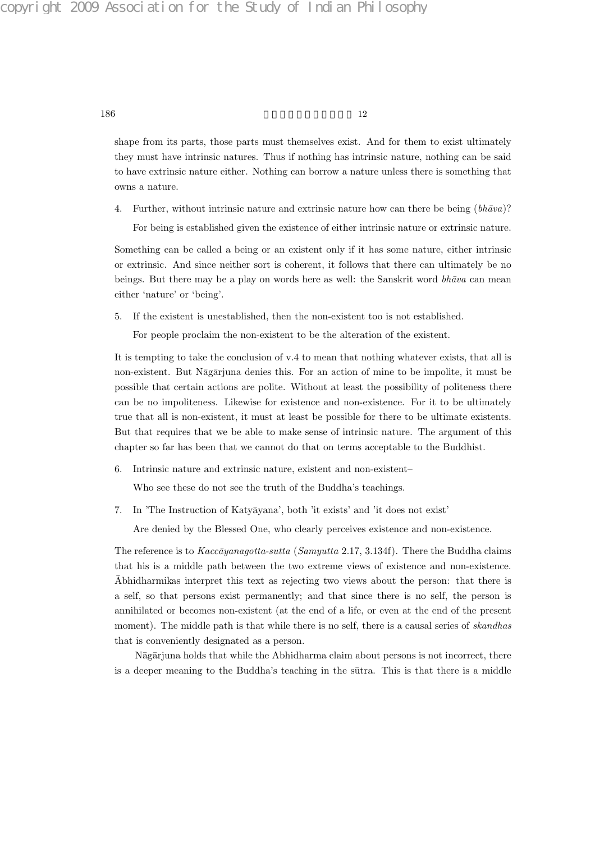shape from its parts, those parts must themselves exist. And for them to exist ultimately they must have intrinsic natures. Thus if nothing has intrinsic nature, nothing can be said to have extrinsic nature either. Nothing can borrow a nature unless there is something that owns a nature.

4. Further, without intrinsic nature and extrinsic nature how can there be being  $(hh\bar{a}va)$ ? For being is established given the existence of either intrinsic nature or extrinsic nature.

Something can be called a being or an existent only if it has some nature, either intrinsic or extrinsic. And since neither sort is coherent, it follows that there can ultimately be no beings. But there may be a play on words here as well: the Sanskrit word *bhava* can mean either 'nature' or 'being'.

5. If the existent is unestablished, then the non-existent too is not established.

For people proclaim the non-existent to be the alteration of the existent.

It is tempting to take the conclusion of v.4 to mean that nothing whatever exists, that all is non-existent. But Nāgārjuna denies this. For an action of mine to be impolite, it must be possible that certain actions are polite. Without at least the possibility of politeness there can be no impoliteness. Likewise for existence and non-existence. For it to be ultimately true that all is non-existent, it must at least be possible for there to be ultimate existents. But that requires that we be able to make sense of intrinsic nature. The argument of this chapter so far has been that we cannot do that on terms acceptable to the Buddhist.

6. Intrinsic nature and extrinsic nature, existent and non-existent–

Who see these do not see the truth of the Buddha's teachings.

7. In 'The Instruction of Katyāyana', both 'it exists' and 'it does not exist'

Are denied by the Blessed One, who clearly perceives existence and non-existence.

The reference is to *Kaccāyanagotta-sutta* (*Samyutta* 2.17, 3.134f). There the Buddha claims that his is a middle path between the two extreme views of existence and non-existence.  $\overline{A}$ bhidharmikas interpret this text as rejecting two views about the person: that there is a self, so that persons exist permanently; and that since there is no self, the person is annihilated or becomes non-existent (at the end of a life, or even at the end of the present moment). The middle path is that while there is no self, there is a causal series of *skandhas* that is conveniently designated as a person.

Nāgārjuna holds that while the Abhidharma claim about persons is not incorrect, there is a deeper meaning to the Buddha's teaching in the sūtra. This is that there is a middle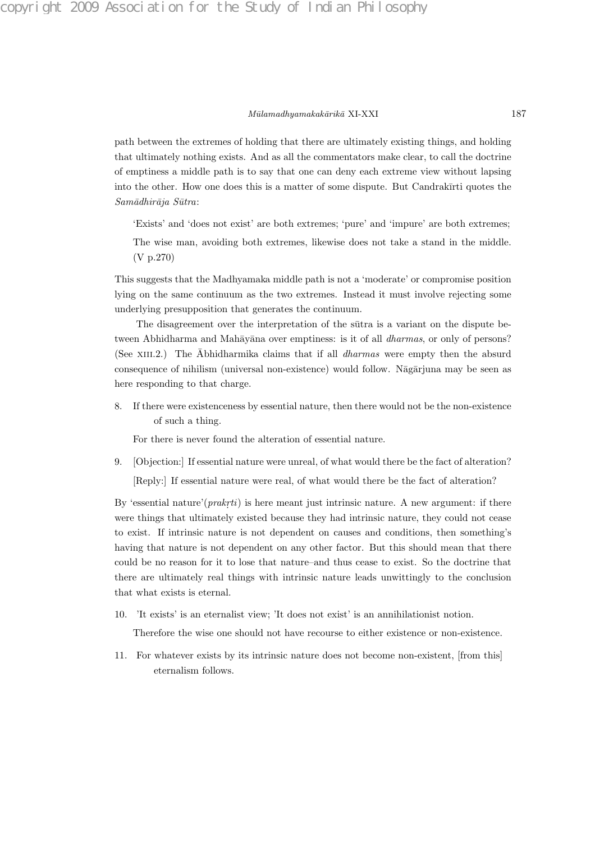path between the extremes of holding that there are ultimately existing things, and holding that ultimately nothing exists. And as all the commentators make clear, to call the doctrine of emptiness a middle path is to say that one can deny each extreme view without lapsing into the other. How one does this is a matter of some dispute. But Candrakūrti quotes the  $Samādhirāja Sūtra:$ 

'Exists' and 'does not exist' are both extremes; 'pure' and 'impure' are both extremes;

The wise man, avoiding both extremes, likewise does not take a stand in the middle. (V p.270)

This suggests that the Madhyamaka middle path is not a 'moderate' or compromise position lying on the same continuum as the two extremes. Instead it must involve rejecting some underlying presupposition that generates the continuum.

The disagreement over the interpretation of the sūtra is a variant on the dispute between Abhidharma and Mah $\bar{a}$ yaana over emptiness: is it of all *dharmas*, or only of persons? (See XIII.2.) The Abhidharmika claims that if all *dharmas* were empty then the absurd consequence of nihilism (universal non-existence) would follow. Nagarjuna may be seen as here responding to that charge.

8. If there were existenceness by essential nature, then there would not be the non-existence of such a thing.

For there is never found the alteration of essential nature.

9. [Objection:] If essential nature were unreal, of what would there be the fact of alteration? [Reply:] If essential nature were real, of what would there be the fact of alteration?

By 'essential nature'(*prakrti*) is here meant just intrinsic nature. A new argument: if there were things that ultimately existed because they had intrinsic nature, they could not cease to exist. If intrinsic nature is not dependent on causes and conditions, then something's having that nature is not dependent on any other factor. But this should mean that there could be no reason for it to lose that nature–and thus cease to exist. So the doctrine that there are ultimately real things with intrinsic nature leads unwittingly to the conclusion that what exists is eternal.

10. 'It exists' is an eternalist view; 'It does not exist' is an annihilationist notion.

Therefore the wise one should not have recourse to either existence or non-existence.

11. For whatever exists by its intrinsic nature does not become non-existent, [from this] eternalism follows.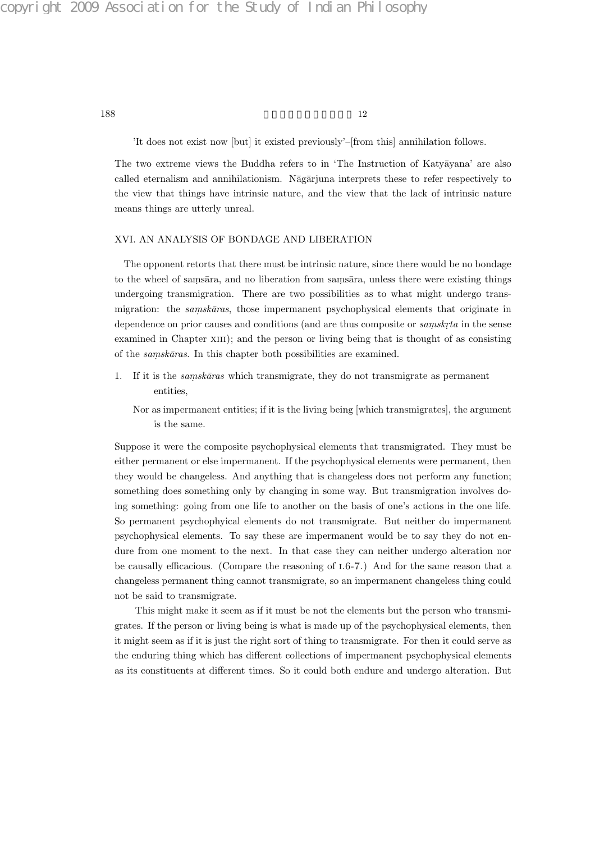'It does not exist now [but] it existed previously'–[from this] annihilation follows.

The two extreme views the Buddha refers to in 'The Instruction of Katy $\bar{a}$ yana' are also called eternalism and annihilationism. Nāgārjuna interprets these to refer respectively to the view that things have intrinsic nature, and the view that the lack of intrinsic nature means things are utterly unreal.

## XVI. AN ANALYSIS OF BONDAGE AND LIBERATION

The opponent retorts that there must be intrinsic nature, since there would be no bondage to the wheel of samsara, and no liberation from samsara, unless there were existing things undergoing transmigration. There are two possibilities as to what might undergo transmigration: the *samskāras*, those impermanent psychophysical elements that originate in dependence on prior causes and conditions (and are thus composite or *samskrta* in the sense examined in Chapter XIII); and the person or living being that is thought of as consisting of the *samskāras*. In this chapter both possibilities are examined.

- 1. If it is the *samskāras* which transmigrate, they do not transmigrate as permanent entities,
	- Nor as impermanent entities; if it is the living being [which transmigrates], the argument is the same.

Suppose it were the composite psychophysical elements that transmigrated. They must be either permanent or else impermanent. If the psychophysical elements were permanent, then they would be changeless. And anything that is changeless does not perform any function; something does something only by changing in some way. But transmigration involves doing something: going from one life to another on the basis of one's actions in the one life. So permanent psychophyical elements do not transmigrate. But neither do impermanent psychophysical elements. To say these are impermanent would be to say they do not endure from one moment to the next. In that case they can neither undergo alteration nor be causally efficacious. (Compare the reasoning of i.6-7.) And for the same reason that a changeless permanent thing cannot transmigrate, so an impermanent changeless thing could not be said to transmigrate.

 This might make it seem as if it must be not the elements but the person who transmigrates. If the person or living being is what is made up of the psychophysical elements, then it might seem as if it is just the right sort of thing to transmigrate. For then it could serve as the enduring thing which has different collections of impermanent psychophysical elements as its constituents at different times. So it could both endure and undergo alteration. But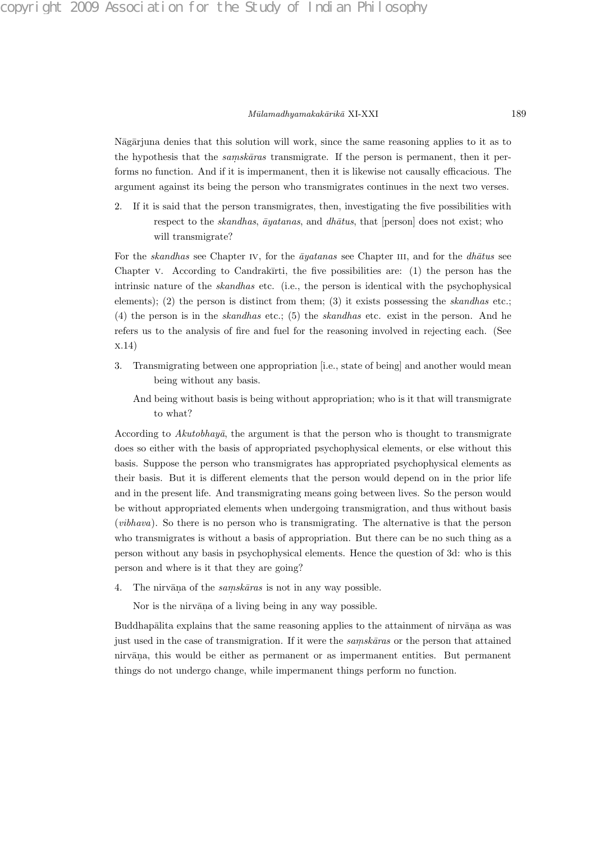Nāgārjuna denies that this solution will work, since the same reasoning applies to it as to the hypothesis that the *samskāras* transmigrate. If the person is permanent, then it performs no function. And if it is impermanent, then it is likewise not causally efficacious. The argument against its being the person who transmigrates continues in the next two verses.

2. If it is said that the person transmigrates, then, investigating the five possibilities with respect to the *skandhas*,  $\bar{a}yatanas$ , and  $d\bar{h}\bar{a}tus$ , that [person] does not exist; who will transmigrate?

For the *skandhas* see Chapter IV, for the  $\bar{a}yatanas$  see Chapter III, and for the  $d\bar{h}\bar{a}tus$  see Chapter v. According to Candrakūrti, the five possibilities are:  $(1)$  the person has the intrinsic nature of the *skandhas* etc. (i.e., the person is identical with the psychophysical elements); (2) the person is distinct from them; (3) it exists possessing the *skandhas* etc.; (4) the person is in the *skandhas* etc.; (5) the *skandhas* etc. exist in the person. And he refers us to the analysis of fire and fuel for the reasoning involved in rejecting each. (See x.14)

- 3. Transmigrating between one appropriation [i.e., state of being] and another would mean being without any basis.
	- And being without basis is being without appropriation; who is it that will transmigrate to what?

According to *Akutobhayā*, the argument is that the person who is thought to transmigrate does so either with the basis of appropriated psychophysical elements, or else without this basis. Suppose the person who transmigrates has appropriated psychophysical elements as their basis. But it is different elements that the person would depend on in the prior life and in the present life. And transmigrating means going between lives. So the person would be without appropriated elements when undergoing transmigration, and thus without basis (*vibhava*). So there is no person who is transmigrating. The alternative is that the person who transmigrates is without a basis of appropriation. But there can be no such thing as a person without any basis in psychophysical elements. Hence the question of 3d: who is this person and where is it that they are going?

4. The nirvana of the *samskaras* is not in any way possible.

Nor is the nirvan a of a living being in any way possible.

Buddhapālita explains that the same reasoning applies to the attainment of nirvāņa as was just used in the case of transmigration. If it were the *samskāras* or the person that attained nirvāņa, this would be either as permanent or as impermanent entities. But permanent things do not undergo change, while impermanent things perform no function.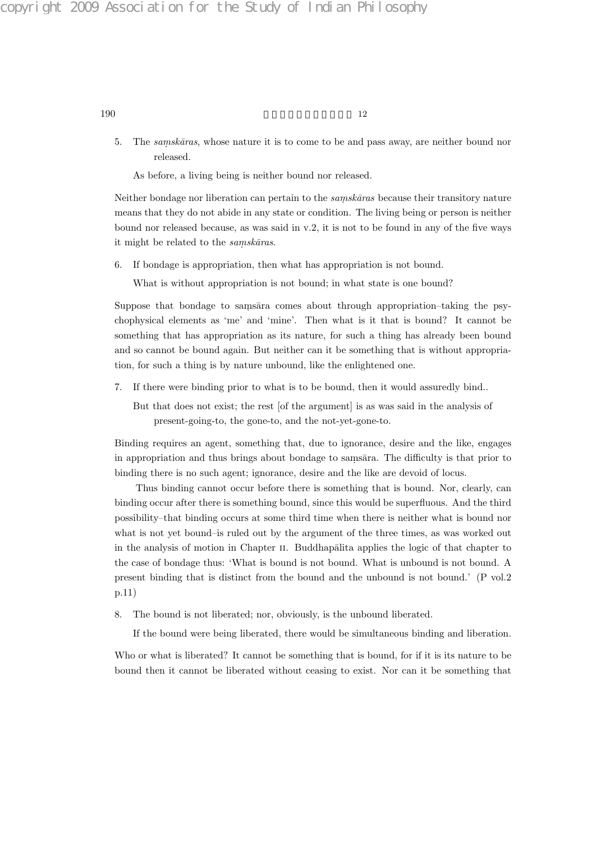5. The *samskāras*, whose nature it is to come to be and pass away, are neither bound nor released.

As before, a living being is neither bound nor released.

Neither bondage nor liberation can pertain to the *samskāras* because their transitory nature means that they do not abide in any state or condition. The living being or person is neither bound nor released because, as was said in v.2, it is not to be found in any of the five ways it might be related to the *samskāras*.

6. If bondage is appropriation, then what has appropriation is not bound.

What is without appropriation is not bound; in what state is one bound?

Suppose that bondage to samsara comes about through appropriation-taking the psychophysical elements as 'me' and 'mine'. Then what is it that is bound? It cannot be something that has appropriation as its nature, for such a thing has already been bound and so cannot be bound again. But neither can it be something that is without appropriation, for such a thing is by nature unbound, like the enlightened one.

7. If there were binding prior to what is to be bound, then it would assuredly bind..

But that does not exist; the rest [of the argument] is as was said in the analysis of present-going-to, the gone-to, and the not-yet-gone-to.

Binding requires an agent, something that, due to ignorance, desire and the like, engages in appropriation and thus brings about bondage to samsara. The difficulty is that prior to binding there is no such agent; ignorance, desire and the like are devoid of locus.

 Thus binding cannot occur before there is something that is bound. Nor, clearly, can binding occur after there is something bound, since this would be superfluous. And the third possibility–that binding occurs at some third time when there is neither what is bound nor what is not yet bound–is ruled out by the argument of the three times, as was worked out in the analysis of motion in Chapter II. Buddhapalita applies the logic of that chapter to the case of bondage thus: 'What is bound is not bound. What is unbound is not bound. A present binding that is distinct from the bound and the unbound is not bound.' (P vol.2 p.11)

8. The bound is not liberated; nor, obviously, is the unbound liberated.

If the bound were being liberated, there would be simultaneous binding and liberation.

Who or what is liberated? It cannot be something that is bound, for if it is its nature to be bound then it cannot be liberated without ceasing to exist. Nor can it be something that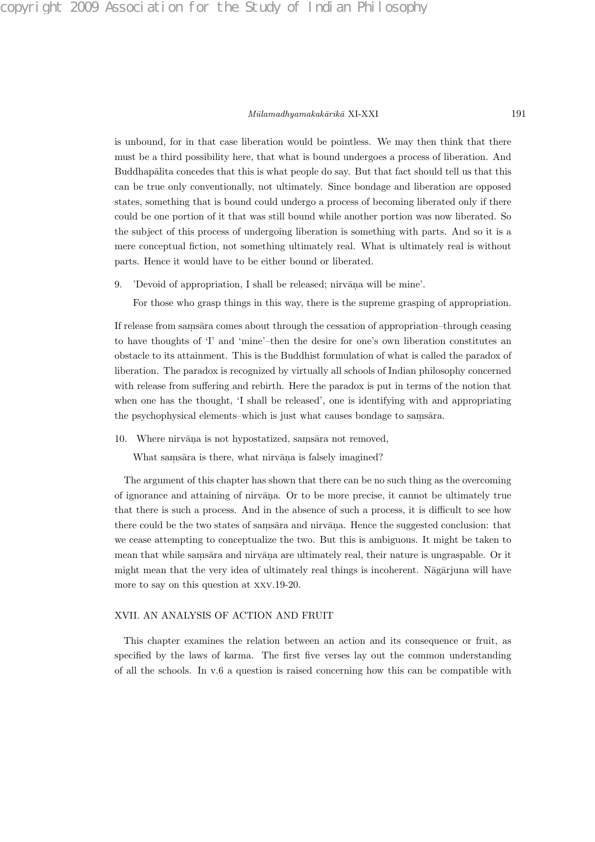is unbound, for in that case liberation would be pointless. We may then think that there must be a third possibility here, that what is bound undergoes a process of liberation. And Buddhapālita concedes that this is what people do say. But that fact should tell us that this can be true only conventionally, not ultimately. Since bondage and liberation are opposed states, something that is bound could undergo a process of becoming liberated only if there could be one portion of it that was still bound while another portion was now liberated. So the subject of this process of undergoing liberation is something with parts. And so it is a mere conceptual fiction, not something ultimately real. What is ultimately real is without parts. Hence it would have to be either bound or liberated.

9. 'Devoid of appropriation, I shall be released; nirvana will be mine'.

For those who grasp things in this way, there is the supreme grasping of appropriation.

If release from samsāra comes about through the cessation of appropriation–through ceasing to have thoughts of 'I' and 'mine'–then the desire for one's own liberation constitutes an obstacle to its attainment. This is the Buddhist formulation of what is called the paradox of liberation. The paradox is recognized by virtually all schools of Indian philosophy concerned with release from suffering and rebirth. Here the paradox is put in terms of the notion that when one has the thought, 'I shall be released', one is identifying with and appropriating the psychophysical elements–which is just what causes bondage to samsāra.

10. Where nirvana is not hypostatized, samsara not removed,

What samsāra is there, what nirvāņa is falsely imagined?

The argument of this chapter has shown that there can be no such thing as the overcoming of ignorance and attaining of nirvana. Or to be more precise, it cannot be ultimately true that there is such a process. And in the absence of such a process, it is difficult to see how there could be the two states of samsara and nirvana. Hence the suggested conclusion: that we cease attempting to conceptualize the two. But this is ambiguous. It might be taken to mean that while samsāra and nirvāņa are ultimately real, their nature is ungraspable. Or it might mean that the very idea of ultimately real things is incoherent. Nagarjuna will have more to say on this question at xxv.19-20.

#### XVII. AN ANALYSIS OF ACTION AND FRUIT

This chapter examines the relation between an action and its consequence or fruit, as specified by the laws of karma. The first five verses lay out the common understanding of all the schools. In v.6 a question is raised concerning how this can be compatible with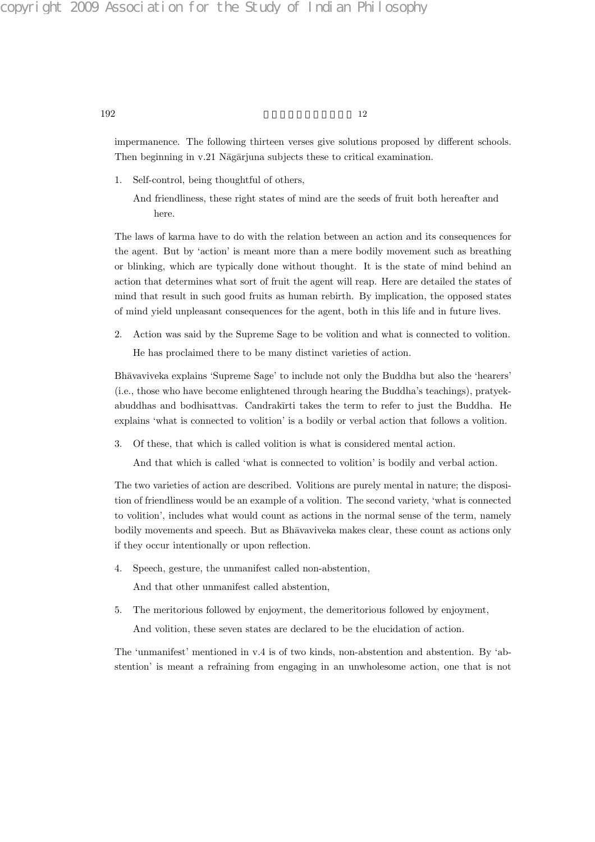impermanence. The following thirteen verses give solutions proposed by different schools. Then beginning in v.21 Nāgārjuna subjects these to critical examination.

1. Self-control, being thoughtful of others,

And friendliness, these right states of mind are the seeds of fruit both hereafter and here.

The laws of karma have to do with the relation between an action and its consequences for the agent. But by 'action' is meant more than a mere bodily movement such as breathing or blinking, which are typically done without thought. It is the state of mind behind an action that determines what sort of fruit the agent will reap. Here are detailed the states of mind that result in such good fruits as human rebirth. By implication, the opposed states of mind yield unpleasant consequences for the agent, both in this life and in future lives.

2. Action was said by the Supreme Sage to be volition and what is connected to volition. He has proclaimed there to be many distinct varieties of action.

Bhāvaviveka explains 'Supreme Sage' to include not only the Buddha but also the 'hearers' (i.e., those who have become enlightened through hearing the Buddha's teachings), pratyekabuddhas and bodhisattvas. Candrakīrti takes the term to refer to just the Buddha. He explains 'what is connected to volition' is a bodily or verbal action that follows a volition.

3. Of these, that which is called volition is what is considered mental action.

And that which is called 'what is connected to volition' is bodily and verbal action.

The two varieties of action are described. Volitions are purely mental in nature; the disposition of friendliness would be an example of a volition. The second variety, 'what is connected to volition', includes what would count as actions in the normal sense of the term, namely bodily movements and speech. But as Bhavaviveka makes clear, these count as actions only if they occur intentionally or upon reflection.

4. Speech, gesture, the unmanifest called non-abstention,

And that other unmanifest called abstention,

5. The meritorious followed by enjoyment, the demeritorious followed by enjoyment,

And volition, these seven states are declared to be the elucidation of action.

The 'unmanifest' mentioned in v.4 is of two kinds, non-abstention and abstention. By 'abstention' is meant a refraining from engaging in an unwholesome action, one that is not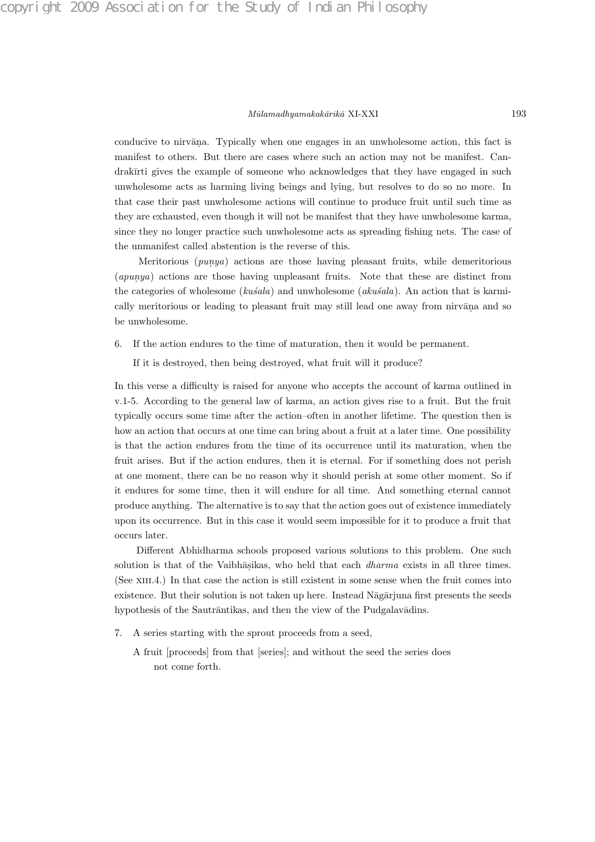conducive to nirvāna. Typically when one engages in an unwholesome action, this fact is manifest to others. But there are cases where such an action may not be manifest. Candrakūrti gives the example of someone who acknowledges that they have engaged in such unwholesome acts as harming living beings and lying, but resolves to do so no more. In that case their past unwholesome actions will continue to produce fruit until such time as they are exhausted, even though it will not be manifest that they have unwholesome karma, since they no longer practice such unwholesome acts as spreading fishing nets. The case of the unmanifest called abstention is the reverse of this.

Meritorious (*punya*) actions are those having pleasant fruits, while demeritorious (*apunya*) actions are those having unpleasant fruits. Note that these are distinct from the categories of wholesome (*ku´sala*) and unwholesome (*aku´sala*). An action that is karmically meritorious or leading to pleasant fruit may still lead one away from nirvana and so be unwholesome.

6. If the action endures to the time of maturation, then it would be permanent.

If it is destroyed, then being destroyed, what fruit will it produce?

In this verse a difficulty is raised for anyone who accepts the account of karma outlined in v.1-5. According to the general law of karma, an action gives rise to a fruit. But the fruit typically occurs some time after the action–often in another lifetime. The question then is how an action that occurs at one time can bring about a fruit at a later time. One possibility is that the action endures from the time of its occurrence until its maturation, when the fruit arises. But if the action endures, then it is eternal. For if something does not perish at one moment, there can be no reason why it should perish at some other moment. So if it endures for some time, then it will endure for all time. And something eternal cannot produce anything. The alternative is to say that the action goes out of existence immediately upon its occurrence. But in this case it would seem impossible for it to produce a fruit that occurs later.

 Different Abhidharma schools proposed various solutions to this problem. One such solution is that of the Vaibhasikas, who held that each *dharma* exists in all three times. (See XIII.4.) In that case the action is still existent in some sense when the fruit comes into existence. But their solution is not taken up here. Instead Nāgārjuna first presents the seeds hypothesis of the Sautrāntikas, and then the view of the Pudgalavādins.

- 7. A series starting with the sprout proceeds from a seed,
	- A fruit [proceeds] from that [series]; and without the seed the series does not come forth.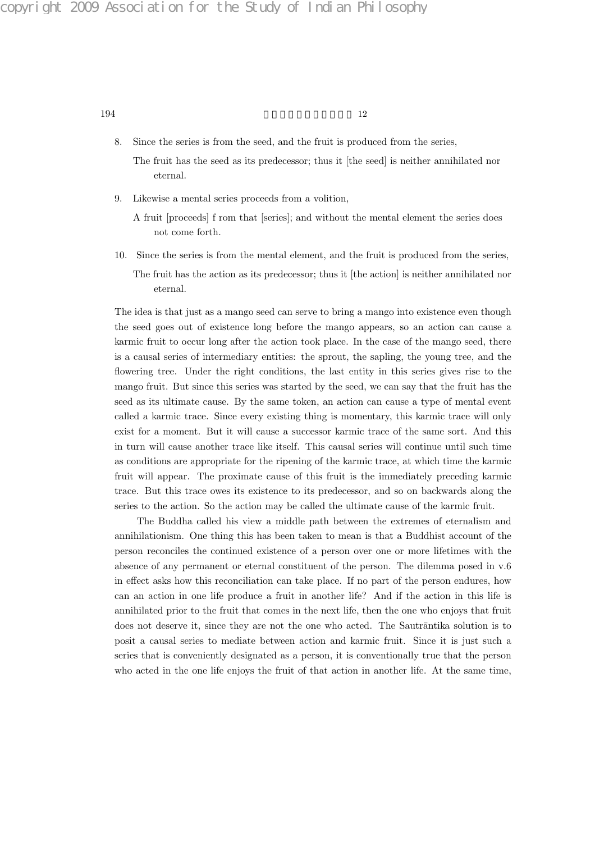- 8. Since the series is from the seed, and the fruit is produced from the series,
	- The fruit has the seed as its predecessor; thus it [the seed] is neither annihilated nor eternal.
- 9. Likewise a mental series proceeds from a volition,
	- A fruit [proceeds] f rom that [series]; and without the mental element the series does not come forth.
- 10. Since the series is from the mental element, and the fruit is produced from the series, The fruit has the action as its predecessor; thus it [the action] is neither annihilated nor eternal.

The idea is that just as a mango seed can serve to bring a mango into existence even though the seed goes out of existence long before the mango appears, so an action can cause a karmic fruit to occur long after the action took place. In the case of the mango seed, there is a causal series of intermediary entities: the sprout, the sapling, the young tree, and the flowering tree. Under the right conditions, the last entity in this series gives rise to the mango fruit. But since this series was started by the seed, we can say that the fruit has the seed as its ultimate cause. By the same token, an action can cause a type of mental event called a karmic trace. Since every existing thing is momentary, this karmic trace will only exist for a moment. But it will cause a successor karmic trace of the same sort. And this in turn will cause another trace like itself. This causal series will continue until such time as conditions are appropriate for the ripening of the karmic trace, at which time the karmic fruit will appear. The proximate cause of this fruit is the immediately preceding karmic trace. But this trace owes its existence to its predecessor, and so on backwards along the series to the action. So the action may be called the ultimate cause of the karmic fruit.

 The Buddha called his view a middle path between the extremes of eternalism and annihilationism. One thing this has been taken to mean is that a Buddhist account of the person reconciles the continued existence of a person over one or more lifetimes with the absence of any permanent or eternal constituent of the person. The dilemma posed in v.6 in effect asks how this reconciliation can take place. If no part of the person endures, how can an action in one life produce a fruit in another life? And if the action in this life is annihilated prior to the fruit that comes in the next life, then the one who enjoys that fruit does not deserve it, since they are not the one who acted. The Sautrantika solution is to posit a causal series to mediate between action and karmic fruit. Since it is just such a series that is conveniently designated as a person, it is conventionally true that the person who acted in the one life enjoys the fruit of that action in another life. At the same time,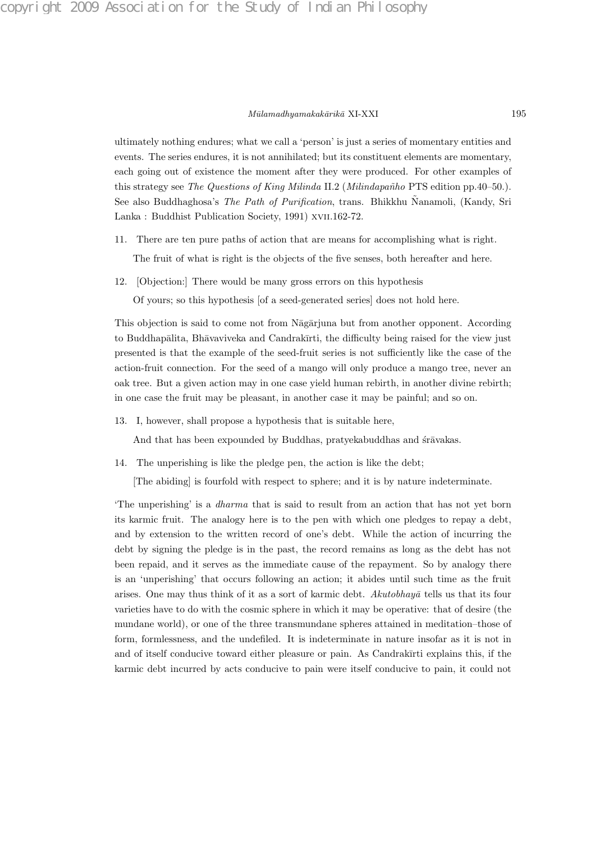ultimately nothing endures; what we call a 'person' is just a series of momentary entities and events. The series endures, it is not annihilated; but its constituent elements are momentary, each going out of existence the moment after they were produced. For other examples of this strategy see *The Questions of King Milinda* II.2 (*Milindapa˜nho* PTS edition pp.40–50.). See also Buddhaghosa's *The Path of Purification*, trans. Bhikkhu Nanamoli, (Kandy, Sri Lanka : Buddhist Publication Society, 1991) xvii.162-72.

- 11. There are ten pure paths of action that are means for accomplishing what is right. The fruit of what is right is the objects of the five senses, both hereafter and here.
- 12. [Objection:] There would be many gross errors on this hypothesis

Of yours; so this hypothesis [of a seed-generated series] does not hold here.

This objection is said to come not from Nagarjuna but from another opponent. According to Buddhapālita, Bhāvaviveka and Candrakīrti, the difficulty being raised for the view just presented is that the example of the seed-fruit series is not sufficiently like the case of the action-fruit connection. For the seed of a mango will only produce a mango tree, never an oak tree. But a given action may in one case yield human rebirth, in another divine rebirth; in one case the fruit may be pleasant, in another case it may be painful; and so on.

13. I, however, shall propose a hypothesis that is suitable here,

And that has been expounded by Buddhas, pratyekabuddhas and śrāvakas.

14. The unperishing is like the pledge pen, the action is like the debt;

[The abiding] is fourfold with respect to sphere; and it is by nature indeterminate.

'The unperishing' is a *dharma* that is said to result from an action that has not yet born its karmic fruit. The analogy here is to the pen with which one pledges to repay a debt, and by extension to the written record of one's debt. While the action of incurring the debt by signing the pledge is in the past, the record remains as long as the debt has not been repaid, and it serves as the immediate cause of the repayment. So by analogy there is an 'unperishing' that occurs following an action; it abides until such time as the fruit arises. One may thus think of it as a sort of karmic debt. *Akutobhaya* tells us that its four varieties have to do with the cosmic sphere in which it may be operative: that of desire (the mundane world), or one of the three transmundane spheres attained in meditation–those of form, formlessness, and the undefiled. It is indeterminate in nature insofar as it is not in and of itself conducive toward either pleasure or pain. As Candrak $\overline{\text{arct}}$  explains this, if the karmic debt incurred by acts conducive to pain were itself conducive to pain, it could not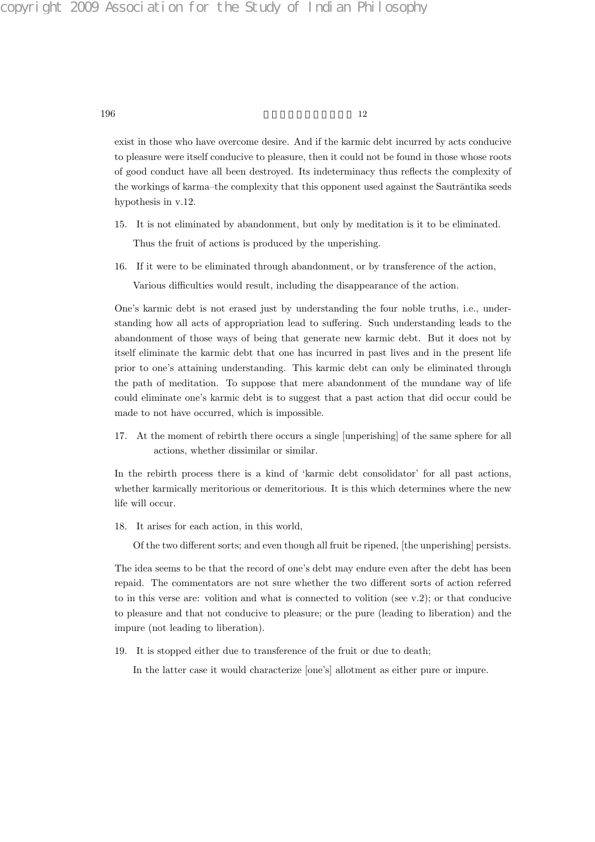exist in those who have overcome desire. And if the karmic debt incurred by acts conducive to pleasure were itself conducive to pleasure, then it could not be found in those whose roots of good conduct have all been destroyed. Its indeterminacy thus reflects the complexity of the workings of karma–the complexity that this opponent used against the Sautrāntika seeds hypothesis in v.12.

- 15. It is not eliminated by abandonment, but only by meditation is it to be eliminated. Thus the fruit of actions is produced by the unperishing.
- 16. If it were to be eliminated through abandonment, or by transference of the action, Various difficulties would result, including the disappearance of the action.

One's karmic debt is not erased just by understanding the four noble truths, i.e., understanding how all acts of appropriation lead to suffering. Such understanding leads to the abandonment of those ways of being that generate new karmic debt. But it does not by itself eliminate the karmic debt that one has incurred in past lives and in the present life prior to one's attaining understanding. This karmic debt can only be eliminated through the path of meditation. To suppose that mere abandonment of the mundane way of life could eliminate one's karmic debt is to suggest that a past action that did occur could be made to not have occurred, which is impossible.

17. At the moment of rebirth there occurs a single [unperishing] of the same sphere for all actions, whether dissimilar or similar.

In the rebirth process there is a kind of 'karmic debt consolidator' for all past actions, whether karmically meritorious or demeritorious. It is this which determines where the new life will occur.

18. It arises for each action, in this world,

Of the two different sorts; and even though all fruit be ripened, [the unperishing] persists.

The idea seems to be that the record of one's debt may endure even after the debt has been repaid. The commentators are not sure whether the two different sorts of action referred to in this verse are: volition and what is connected to volition (see v.2); or that conducive to pleasure and that not conducive to pleasure; or the pure (leading to liberation) and the impure (not leading to liberation).

19. It is stopped either due to transference of the fruit or due to death;

In the latter case it would characterize [one's] allotment as either pure or impure.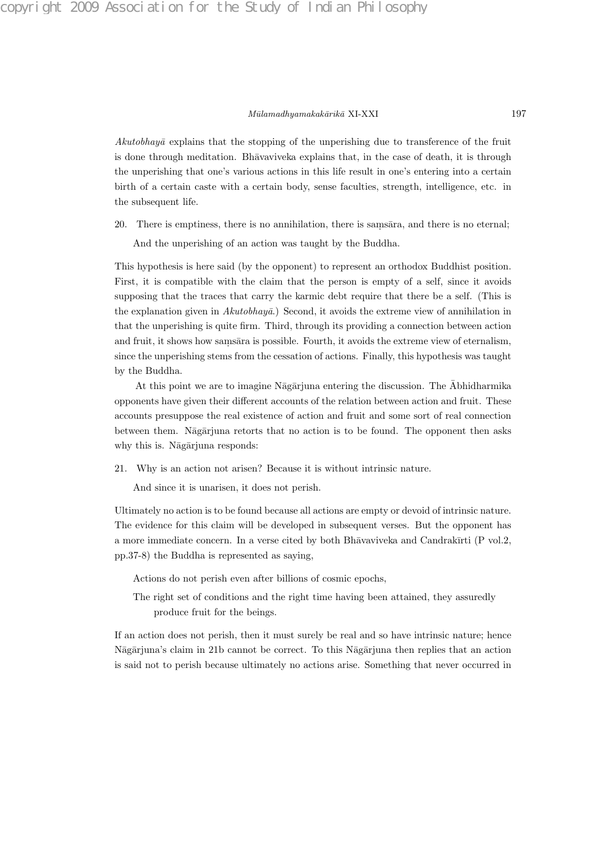*Akutobhayā* explains that the stopping of the unperishing due to transference of the fruit is done through meditation. Bhavaviveka explains that, in the case of death, it is through the unperishing that one's various actions in this life result in one's entering into a certain birth of a certain caste with a certain body, sense faculties, strength, intelligence, etc. in the subsequent life.

20. There is emptiness, there is no annihilation, there is samsara, and there is no eternal;

And the unperishing of an action was taught by the Buddha.

This hypothesis is here said (by the opponent) to represent an orthodox Buddhist position. First, it is compatible with the claim that the person is empty of a self, since it avoids supposing that the traces that carry the karmic debt require that there be a self. (This is the explanation given in *Akutobhayā*.) Second, it avoids the extreme view of annihilation in that the unperishing is quite firm. Third, through its providing a connection between action and fruit, it shows how samsara is possible. Fourth, it avoids the extreme view of eternalism, since the unperishing stems from the cessation of actions. Finally, this hypothesis was taught by the Buddha.

At this point we are to imagine Nāgārjuna entering the discussion. The Abhidharmika opponents have given their different accounts of the relation between action and fruit. These accounts presuppose the real existence of action and fruit and some sort of real connection between them. Nāgārjuna retorts that no action is to be found. The opponent then asks why this is. Nāgārjuna responds:

21. Why is an action not arisen? Because it is without intrinsic nature.

And since it is unarisen, it does not perish.

Ultimately no action is to be found because all actions are empty or devoid of intrinsic nature. The evidence for this claim will be developed in subsequent verses. But the opponent has a more immediate concern. In a verse cited by both Bhavaviveka and Candrakūrti (P vol.2, pp.37-8) the Buddha is represented as saying,

Actions do not perish even after billions of cosmic epochs,

The right set of conditions and the right time having been attained, they assuredly produce fruit for the beings.

If an action does not perish, then it must surely be real and so have intrinsic nature; hence Nāgārjuna's claim in 21b cannot be correct. To this Nāgārjuna then replies that an action is said not to perish because ultimately no actions arise. Something that never occurred in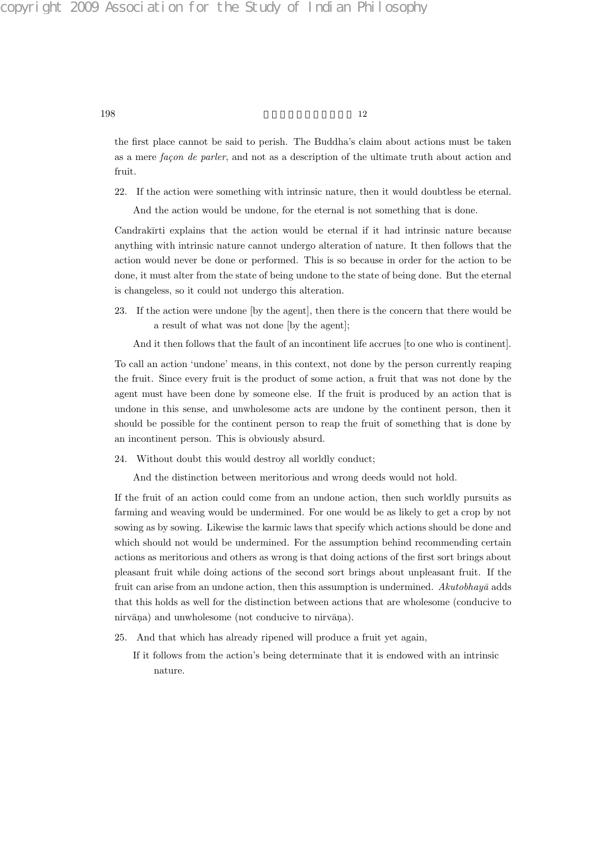the first place cannot be said to perish. The Buddha's claim about actions must be taken as a mere *façon de parler*, and not as a description of the ultimate truth about action and fruit.

22. If the action were something with intrinsic nature, then it would doubtless be eternal.

And the action would be undone, for the eternal is not something that is done.

Candrakūrti explains that the action would be eternal if it had intrinsic nature because anything with intrinsic nature cannot undergo alteration of nature. It then follows that the action would never be done or performed. This is so because in order for the action to be done, it must alter from the state of being undone to the state of being done. But the eternal is changeless, so it could not undergo this alteration.

23. If the action were undone [by the agent], then there is the concern that there would be a result of what was not done [by the agent];

And it then follows that the fault of an incontinent life accrues [to one who is continent].

To call an action 'undone' means, in this context, not done by the person currently reaping the fruit. Since every fruit is the product of some action, a fruit that was not done by the agent must have been done by someone else. If the fruit is produced by an action that is undone in this sense, and unwholesome acts are undone by the continent person, then it should be possible for the continent person to reap the fruit of something that is done by an incontinent person. This is obviously absurd.

24. Without doubt this would destroy all worldly conduct;

And the distinction between meritorious and wrong deeds would not hold.

If the fruit of an action could come from an undone action, then such worldly pursuits as farming and weaving would be undermined. For one would be as likely to get a crop by not sowing as by sowing. Likewise the karmic laws that specify which actions should be done and which should not would be undermined. For the assumption behind recommending certain actions as meritorious and others as wrong is that doing actions of the first sort brings about pleasant fruit while doing actions of the second sort brings about unpleasant fruit. If the fruit can arise from an undone action, then this assumption is undermined. *Akutobhaya*<sup>a</sup> adds that this holds as well for the distinction between actions that are wholesome (conducive to nirvāna) and unwholesome (not conducive to nirvāna).

- 25. And that which has already ripened will produce a fruit yet again,
	- If it follows from the action's being determinate that it is endowed with an intrinsic nature.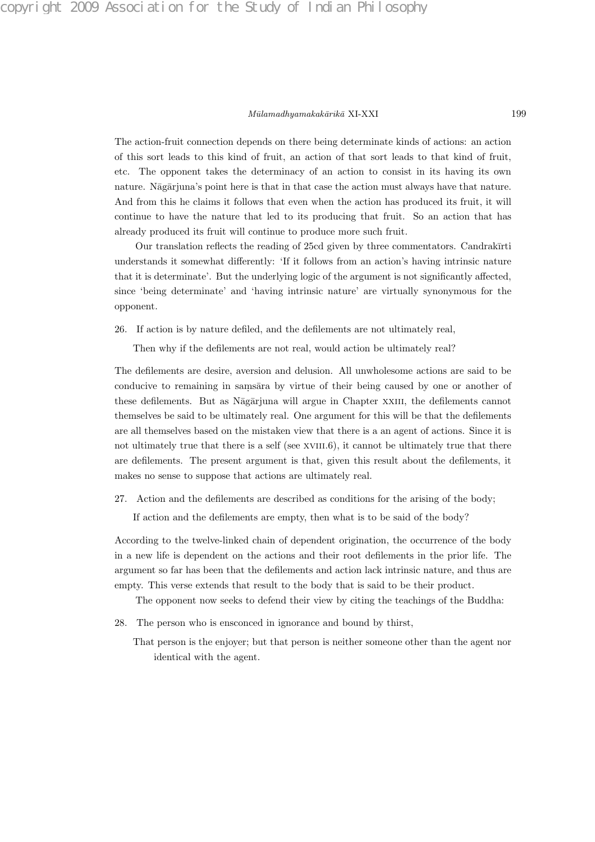The action-fruit connection depends on there being determinate kinds of actions: an action of this sort leads to this kind of fruit, an action of that sort leads to that kind of fruit, etc. The opponent takes the determinacy of an action to consist in its having its own nature. Nāgārjuna's point here is that in that case the action must always have that nature. And from this he claims it follows that even when the action has produced its fruit, it will continue to have the nature that led to its producing that fruit. So an action that has already produced its fruit will continue to produce more such fruit.

Our translation reflects the reading of 25cd given by three commentators. Candrakūrti understands it somewhat differently: 'If it follows from an action's having intrinsic nature that it is determinate'. But the underlying logic of the argument is not significantly affected, since 'being determinate' and 'having intrinsic nature' are virtually synonymous for the opponent.

26. If action is by nature defiled, and the defilements are not ultimately real,

Then why if the defilements are not real, would action be ultimately real?

The defilements are desire, aversion and delusion. All unwholesome actions are said to be conducive to remaining in samsara by virtue of their being caused by one or another of these defilements. But as Nāgārjuna will argue in Chapter XXIII, the defilements cannot themselves be said to be ultimately real. One argument for this will be that the defilements are all themselves based on the mistaken view that there is a an agent of actions. Since it is not ultimately true that there is a self (see  $XVIII.6$ ), it cannot be ultimately true that there are defilements. The present argument is that, given this result about the defilements, it makes no sense to suppose that actions are ultimately real.

27. Action and the defilements are described as conditions for the arising of the body;

If action and the defilements are empty, then what is to be said of the body?

According to the twelve-linked chain of dependent origination, the occurrence of the body in a new life is dependent on the actions and their root defilements in the prior life. The argument so far has been that the defilements and action lack intrinsic nature, and thus are empty. This verse extends that result to the body that is said to be their product.

The opponent now seeks to defend their view by citing the teachings of the Buddha:

- 28. The person who is ensconced in ignorance and bound by thirst,
	- That person is the enjoyer; but that person is neither someone other than the agent nor identical with the agent.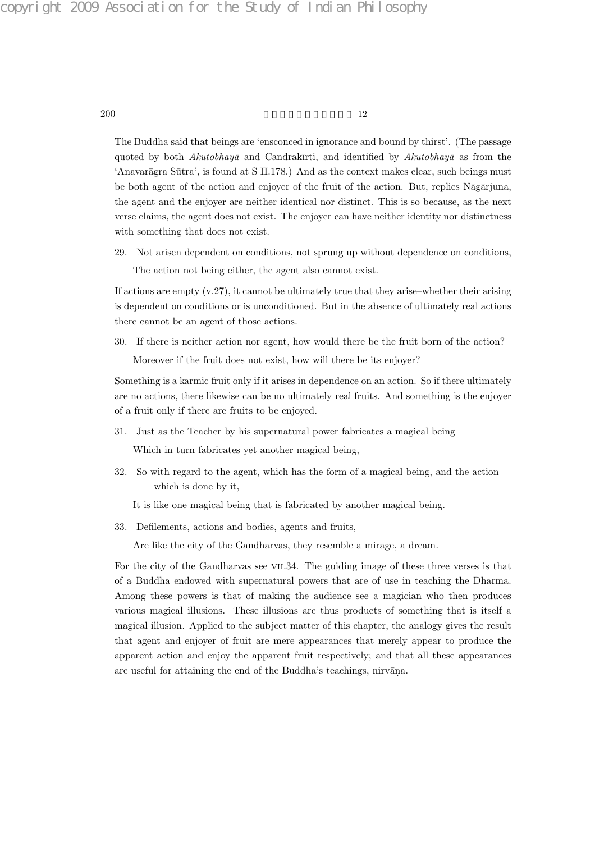#### $200$  and  $12$

The Buddha said that beings are 'ensconced in ignorance and bound by thirst'. (The passage quoted by both *Akutobhay* $\bar{a}$  and Candrakūrti, and identified by *Akutobhay* $\bar{a}$  as from the 'Anavarāgra Sūtra', is found at S II.178.) And as the context makes clear, such beings must be both agent of the action and enjoyer of the fruit of the action. But, replies Nagarjuna, the agent and the enjoyer are neither identical nor distinct. This is so because, as the next verse claims, the agent does not exist. The enjoyer can have neither identity nor distinctness with something that does not exist.

29. Not arisen dependent on conditions, not sprung up without dependence on conditions, The action not being either, the agent also cannot exist.

If actions are empty  $(v.27)$ , it cannot be ultimately true that they arise–whether their arising is dependent on conditions or is unconditioned. But in the absence of ultimately real actions there cannot be an agent of those actions.

30. If there is neither action nor agent, how would there be the fruit born of the action?

Moreover if the fruit does not exist, how will there be its enjoyer?

Something is a karmic fruit only if it arises in dependence on an action. So if there ultimately are no actions, there likewise can be no ultimately real fruits. And something is the enjoyer of a fruit only if there are fruits to be enjoyed.

31. Just as the Teacher by his supernatural power fabricates a magical being

Which in turn fabricates yet another magical being,

32. So with regard to the agent, which has the form of a magical being, and the action which is done by it,

It is like one magical being that is fabricated by another magical being.

33. Defilements, actions and bodies, agents and fruits,

Are like the city of the Gandharvas, they resemble a mirage, a dream.

For the city of the Gandharvas see vii.34. The guiding image of these three verses is that of a Buddha endowed with supernatural powers that are of use in teaching the Dharma. Among these powers is that of making the audience see a magician who then produces various magical illusions. These illusions are thus products of something that is itself a magical illusion. Applied to the subject matter of this chapter, the analogy gives the result that agent and enjoyer of fruit are mere appearances that merely appear to produce the apparent action and enjoy the apparent fruit respectively; and that all these appearances are useful for attaining the end of the Buddha's teachings, nirvana.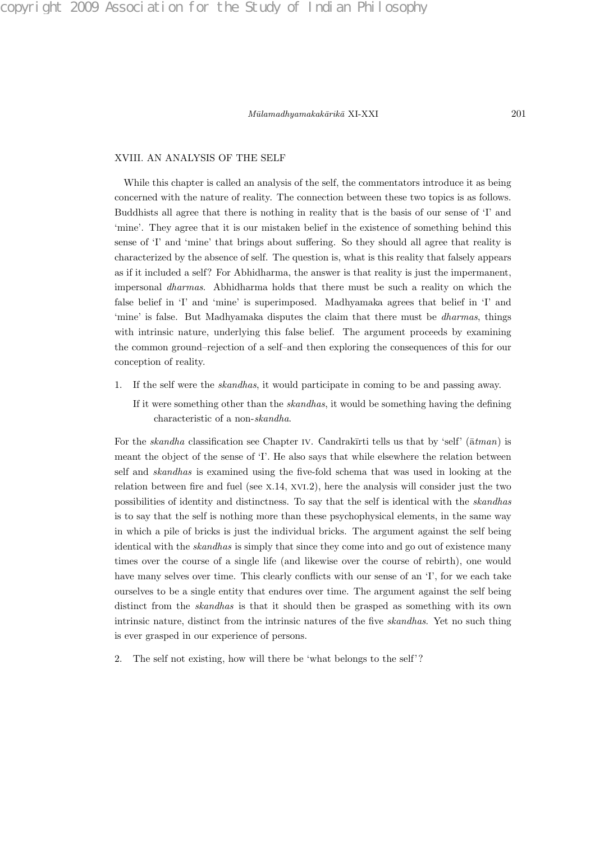#### *M¯ulamadhyamakak¯arik¯a* XI-XXI 201

#### XVIII. AN ANALYSIS OF THE SELF

While this chapter is called an analysis of the self, the commentators introduce it as being concerned with the nature of reality. The connection between these two topics is as follows. Buddhists all agree that there is nothing in reality that is the basis of our sense of 'I' and 'mine'. They agree that it is our mistaken belief in the existence of something behind this sense of 'I' and 'mine' that brings about suffering. So they should all agree that reality is characterized by the absence of self. The question is, what is this reality that falsely appears as if it included a self? For Abhidharma, the answer is that reality is just the impermanent, impersonal *dharmas*. Abhidharma holds that there must be such a reality on which the false belief in 'I' and 'mine' is superimposed. Madhyamaka agrees that belief in 'I' and 'mine' is false. But Madhyamaka disputes the claim that there must be *dharmas*, things with intrinsic nature, underlying this false belief. The argument proceeds by examining the common ground–rejection of a self–and then exploring the consequences of this for our conception of reality.

- 1. If the self were the *skandhas*, it would participate in coming to be and passing away.
	- If it were something other than the *skandhas*, it would be something having the defining characteristic of a non-*skandha*.

For the *skandha* classification see Chapter IV. Candrakūrti tells us that by 'self' ( $\bar{a}tman$ ) is meant the object of the sense of 'I'. He also says that while elsewhere the relation between self and *skandhas* is examined using the five-fold schema that was used in looking at the relation between fire and fuel (see x.14, xvi.2), here the analysis will consider just the two possibilities of identity and distinctness. To say that the self is identical with the *skandhas* is to say that the self is nothing more than these psychophysical elements, in the same way in which a pile of bricks is just the individual bricks. The argument against the self being identical with the *skandhas* is simply that since they come into and go out of existence many times over the course of a single life (and likewise over the course of rebirth), one would have many selves over time. This clearly conflicts with our sense of an 'I', for we each take ourselves to be a single entity that endures over time. The argument against the self being distinct from the *skandhas* is that it should then be grasped as something with its own intrinsic nature, distinct from the intrinsic natures of the five *skandhas*. Yet no such thing is ever grasped in our experience of persons.

2. The self not existing, how will there be 'what belongs to the self'?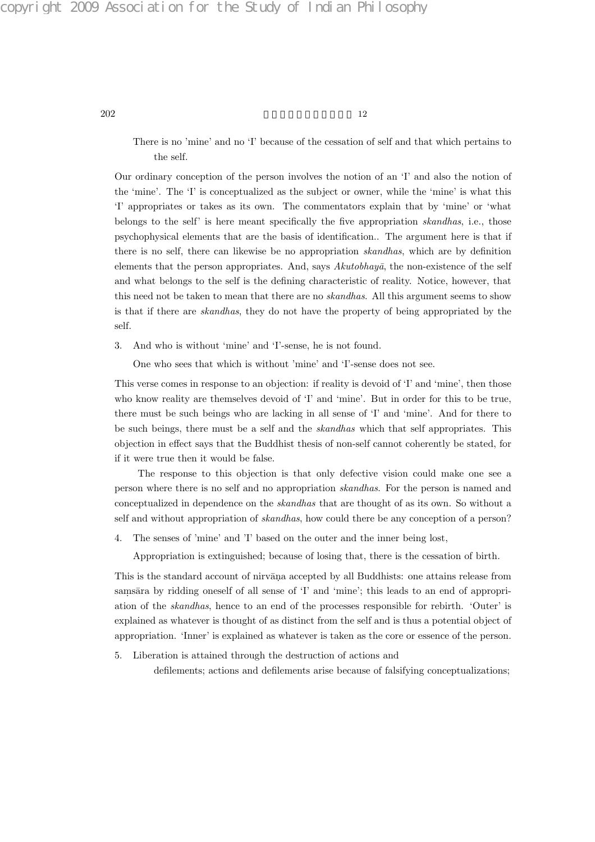There is no 'mine' and no 'I' because of the cessation of self and that which pertains to the self.

Our ordinary conception of the person involves the notion of an 'I' and also the notion of the 'mine'. The 'I' is conceptualized as the subject or owner, while the 'mine' is what this 'I' appropriates or takes as its own. The commentators explain that by 'mine' or 'what belongs to the self' is here meant specifically the five appropriation *skandhas*, i.e., those psychophysical elements that are the basis of identification.. The argument here is that if there is no self, there can likewise be no appropriation *skandhas*, which are by definition elements that the person appropriates. And, says *Akutobhayā*, the non-existence of the self and what belongs to the self is the defining characteristic of reality. Notice, however, that this need not be taken to mean that there are no *skandhas*. All this argument seems to show is that if there are *skandhas*, they do not have the property of being appropriated by the self.

3. And who is without 'mine' and 'I'-sense, he is not found.

One who sees that which is without 'mine' and 'I'-sense does not see.

This verse comes in response to an objection: if reality is devoid of 'I' and 'mine', then those who know reality are themselves devoid of 'I' and 'mine'. But in order for this to be true, there must be such beings who are lacking in all sense of 'I' and 'mine'. And for there to be such beings, there must be a self and the *skandhas* which that self appropriates. This objection in effect says that the Buddhist thesis of non-self cannot coherently be stated, for if it were true then it would be false.

 The response to this objection is that only defective vision could make one see a person where there is no self and no appropriation *skandhas*. For the person is named and conceptualized in dependence on the *skandhas* that are thought of as its own. So without a self and without appropriation of *skandhas*, how could there be any conception of a person?

The senses of 'mine' and 'I' based on the outer and the inner being lost,

Appropriation is extinguished; because of losing that, there is the cessation of birth.

This is the standard account of nirvana accepted by all Buddhists: one attains release from samsāra by ridding oneself of all sense of 'I' and 'mine'; this leads to an end of appropriation of the *skandhas*, hence to an end of the processes responsible for rebirth. 'Outer' is explained as whatever is thought of as distinct from the self and is thus a potential object of appropriation. 'Inner' is explained as whatever is taken as the core or essence of the person.

5. Liberation is attained through the destruction of actions and

defilements; actions and defilements arise because of falsifying conceptualizations;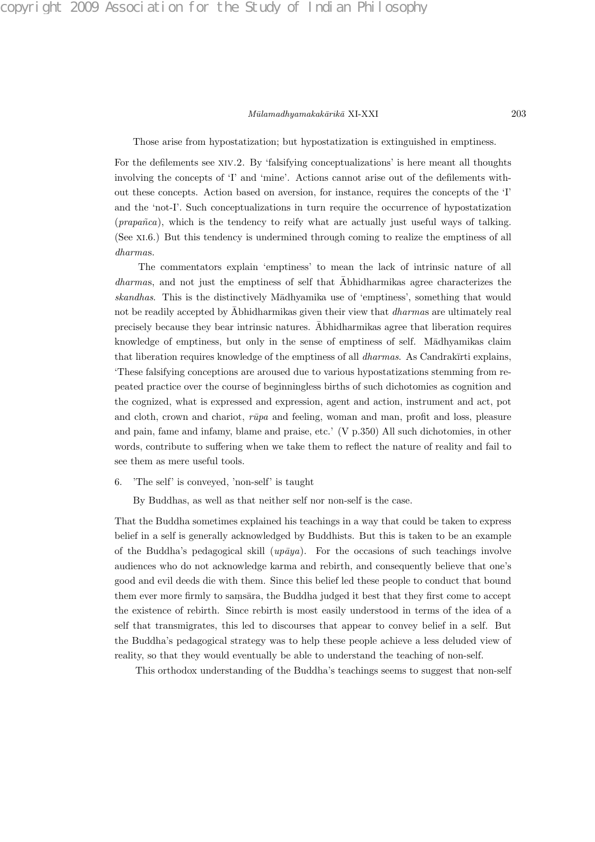## *M¯ulamadhyamakak¯arik¯a* XI-XXI 203

Those arise from hypostatization; but hypostatization is extinguished in emptiness.

For the defilements see xiv.2. By 'falsifying conceptualizations' is here meant all thoughts involving the concepts of 'I' and 'mine'. Actions cannot arise out of the defilements without these concepts. Action based on aversion, for instance, requires the concepts of the 'I' and the 'not-I'. Such conceptualizations in turn require the occurrence of hypostatization (*prapa˜nca*), which is the tendency to reify what are actually just useful ways of talking. (See xi.6.) But this tendency is undermined through coming to realize the emptiness of all *dharma*s.

 The commentators explain 'emptiness' to mean the lack of intrinsic nature of all *dharmas*, and not just the emptiness of self that  $\overline{A}$ bhidharmikas agree characterizes the *skandhas*. This is the distinctively Madhyamika use of 'emptiness', something that would not be readily accepted by  $\overline{A}$  bhidharmikas given their view that *dharmas* are ultimately real precisely because they bear intrinsic natures.  $\overline{A}$ bhidharmikas agree that liberation requires knowledge of emptiness, but only in the sense of emptiness of self. Madhyamikas claim that liberation requires knowledge of the emptiness of all *dharmas*. As Candrakūrti explains, 'These falsifying conceptions are aroused due to various hypostatizations stemming from repeated practice over the course of beginningless births of such dichotomies as cognition and the cognized, what is expressed and expression, agent and action, instrument and act, pot and cloth, crown and chariot,  $r\bar{u}pa$  and feeling, woman and man, profit and loss, pleasure and pain, fame and infamy, blame and praise, etc.' (V p.350) All such dichotomies, in other words, contribute to suffering when we take them to reflect the nature of reality and fail to see them as mere useful tools.

6. 'The self' is conveyed, 'non-self' is taught

By Buddhas, as well as that neither self nor non-self is the case.

That the Buddha sometimes explained his teachings in a way that could be taken to express belief in a self is generally acknowledged by Buddhists. But this is taken to be an example of the Buddha's pedagogical skill (*up¯aya*). For the occasions of such teachings involve audiences who do not acknowledge karma and rebirth, and consequently believe that one's good and evil deeds die with them. Since this belief led these people to conduct that bound them ever more firmly to samsāra, the Buddha judged it best that they first come to accept the existence of rebirth. Since rebirth is most easily understood in terms of the idea of a self that transmigrates, this led to discourses that appear to convey belief in a self. But the Buddha's pedagogical strategy was to help these people achieve a less deluded view of reality, so that they would eventually be able to understand the teaching of non-self.

This orthodox understanding of the Buddha's teachings seems to suggest that non-self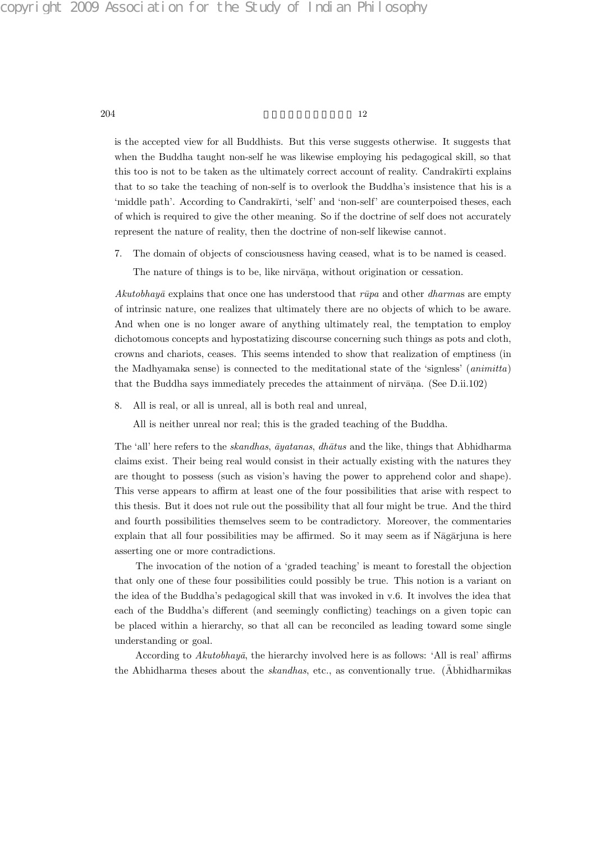is the accepted view for all Buddhists. But this verse suggests otherwise. It suggests that when the Buddha taught non-self he was likewise employing his pedagogical skill, so that this too is not to be taken as the ultimately correct account of reality. Candrakūrti explains that to so take the teaching of non-self is to overlook the Buddha's insistence that his is a 'middle path'. According to Candrakīrti, 'self' and 'non-self' are counterpoised theses, each of which is required to give the other meaning. So if the doctrine of self does not accurately represent the nature of reality, then the doctrine of non-self likewise cannot.

7. The domain of objects of consciousness having ceased, what is to be named is ceased.

The nature of things is to be, like nirvana, without origination or cessation.

*Akutobhayā* explains that once one has understood that *rūpa* and other *dharmas* are empty of intrinsic nature, one realizes that ultimately there are no objects of which to be aware. And when one is no longer aware of anything ultimately real, the temptation to employ dichotomous concepts and hypostatizing discourse concerning such things as pots and cloth, crowns and chariots, ceases. This seems intended to show that realization of emptiness (in the Madhyamaka sense) is connected to the meditational state of the 'signless' (*animitta*) that the Buddha says immediately precedes the attainment of nirvāna. (See  $D$ .ii.102)

8. All is real, or all is unreal, all is both real and unreal,

All is neither unreal nor real; this is the graded teaching of the Buddha.

The 'all' here refers to the *skandhas*,  $āyatanas$ ,  $dhātus$  and the like, things that Abhidharma claims exist. Their being real would consist in their actually existing with the natures they are thought to possess (such as vision's having the power to apprehend color and shape). This verse appears to affirm at least one of the four possibilities that arise with respect to this thesis. But it does not rule out the possibility that all four might be true. And the third and fourth possibilities themselves seem to be contradictory. Moreover, the commentaries explain that all four possibilities may be affirmed. So it may seem as if  $N\bar{a}g\bar{a}rjuna$  is here asserting one or more contradictions.

 The invocation of the notion of a 'graded teaching' is meant to forestall the objection that only one of these four possibilities could possibly be true. This notion is a variant on the idea of the Buddha's pedagogical skill that was invoked in v.6. It involves the idea that each of the Buddha's different (and seemingly conflicting) teachings on a given topic can be placed within a hierarchy, so that all can be reconciled as leading toward some single understanding or goal.

According to *Akutobhayā*, the hierarchy involved here is as follows: 'All is real' affirms the Abhidharma theses about the *skandhas*, etc., as conventionally true. (Abhidharmikas ¯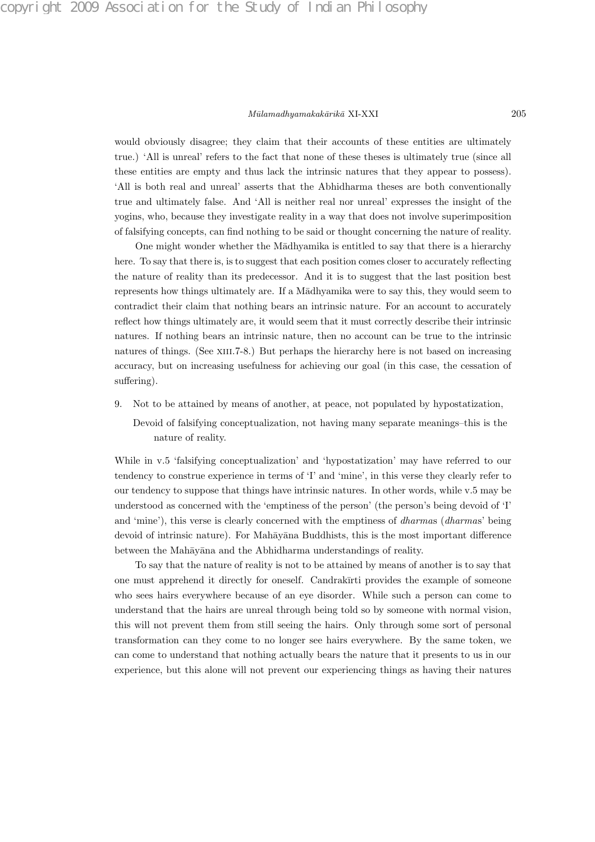## *M¯ulamadhyamakak¯arik¯a* XI-XXI 205

would obviously disagree; they claim that their accounts of these entities are ultimately true.) 'All is unreal' refers to the fact that none of these theses is ultimately true (since all these entities are empty and thus lack the intrinsic natures that they appear to possess). 'All is both real and unreal' asserts that the Abhidharma theses are both conventionally true and ultimately false. And 'All is neither real nor unreal' expresses the insight of the yogins, who, because they investigate reality in a way that does not involve superimposition of falsifying concepts, can find nothing to be said or thought concerning the nature of reality.

One might wonder whether the Mādhyamika is entitled to say that there is a hierarchy here. To say that there is, is to suggest that each position comes closer to accurately reflecting the nature of reality than its predecessor. And it is to suggest that the last position best represents how things ultimately are. If a M $\bar{a}$ dhyamika were to say this, they would seem to contradict their claim that nothing bears an intrinsic nature. For an account to accurately reflect how things ultimately are, it would seem that it must correctly describe their intrinsic natures. If nothing bears an intrinsic nature, then no account can be true to the intrinsic natures of things. (See XIII.7-8.) But perhaps the hierarchy here is not based on increasing accuracy, but on increasing usefulness for achieving our goal (in this case, the cessation of suffering).

- 9. Not to be attained by means of another, at peace, not populated by hypostatization,
	- Devoid of falsifying conceptualization, not having many separate meanings–this is the nature of reality.

While in v.5 'falsifying conceptualization' and 'hypostatization' may have referred to our tendency to construe experience in terms of 'I' and 'mine', in this verse they clearly refer to our tendency to suppose that things have intrinsic natures. In other words, while v.5 may be understood as concerned with the 'emptiness of the person' (the person's being devoid of 'I' and 'mine'), this verse is clearly concerned with the emptiness of *dharma*s (*dharma*s' being devoid of intrinsic nature). For Mahāyāna Buddhists, this is the most important difference between the Mahāyāna and the Abhidharma understandings of reality.

 To say that the nature of reality is not to be attained by means of another is to say that one must apprehend it directly for oneself. Candrakūrti provides the example of someone who sees hairs everywhere because of an eye disorder. While such a person can come to understand that the hairs are unreal through being told so by someone with normal vision, this will not prevent them from still seeing the hairs. Only through some sort of personal transformation can they come to no longer see hairs everywhere. By the same token, we can come to understand that nothing actually bears the nature that it presents to us in our experience, but this alone will not prevent our experiencing things as having their natures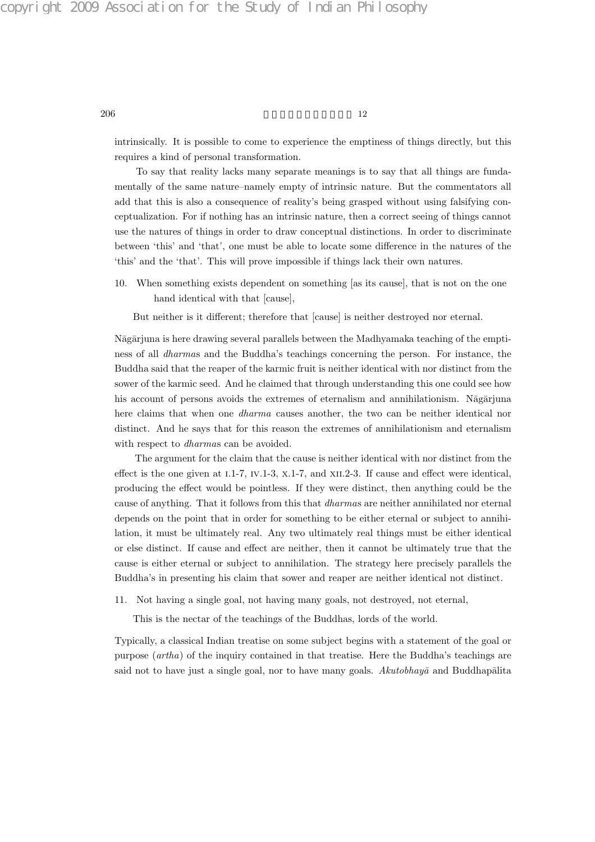#### $206$  and  $12$

intrinsically. It is possible to come to experience the emptiness of things directly, but this requires a kind of personal transformation.

 To say that reality lacks many separate meanings is to say that all things are fundamentally of the same nature–namely empty of intrinsic nature. But the commentators all add that this is also a consequence of reality's being grasped without using falsifying conceptualization. For if nothing has an intrinsic nature, then a correct seeing of things cannot use the natures of things in order to draw conceptual distinctions. In order to discriminate between 'this' and 'that', one must be able to locate some difference in the natures of the 'this' and the 'that'. This will prove impossible if things lack their own natures.

10. When something exists dependent on something [as its cause], that is not on the one hand identical with that [cause],

But neither is it different; therefore that [cause] is neither destroyed nor eternal.

Nāgārjuna is here drawing several parallels between the Madhyamaka teaching of the emptiness of all *dharma*s and the Buddha's teachings concerning the person. For instance, the Buddha said that the reaper of the karmic fruit is neither identical with nor distinct from the sower of the karmic seed. And he claimed that through understanding this one could see how his account of persons avoids the extremes of eternalism and annihilationism. Nagarjuna here claims that when one *dharma* causes another, the two can be neither identical nor distinct. And he says that for this reason the extremes of annihilationism and eternalism with respect to *dharma*s can be avoided.

 The argument for the claim that the cause is neither identical with nor distinct from the effect is the one given at i.1-7, iv.1-3, x.1-7, and xii.2-3. If cause and effect were identical, producing the effect would be pointless. If they were distinct, then anything could be the cause of anything. That it follows from this that *dharma*s are neither annihilated nor eternal depends on the point that in order for something to be either eternal or subject to annihilation, it must be ultimately real. Any two ultimately real things must be either identical or else distinct. If cause and effect are neither, then it cannot be ultimately true that the cause is either eternal or subject to annihilation. The strategy here precisely parallels the Buddha's in presenting his claim that sower and reaper are neither identical not distinct.

11. Not having a single goal, not having many goals, not destroyed, not eternal,

This is the nectar of the teachings of the Buddhas, lords of the world.

Typically, a classical Indian treatise on some subject begins with a statement of the goal or purpose (*artha*) of the inquiry contained in that treatise. Here the Buddha's teachings are said not to have just a single goal, nor to have many goals. Akutobhaya and Buddhapalita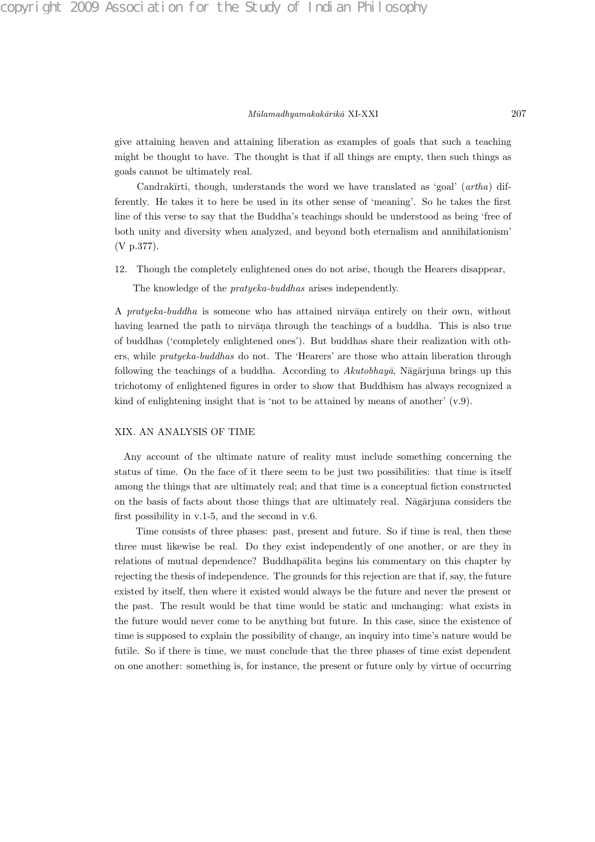## *M¯ulamadhyamakak¯arik¯a* XI-XXI 207

give attaining heaven and attaining liberation as examples of goals that such a teaching might be thought to have. The thought is that if all things are empty, then such things as goals cannot be ultimately real.

Candrakūrti, though, understands the word we have translated as 'goal' (*artha*) differently. He takes it to here be used in its other sense of 'meaning'. So he takes the first line of this verse to say that the Buddha's teachings should be understood as being 'free of both unity and diversity when analyzed, and beyond both eternalism and annihilationism' (V p.377).

12. Though the completely enlightened ones do not arise, though the Hearers disappear,

The knowledge of the *pratyeka-buddhas* arises independently.

A *pratyeka-buddha* is someone who has attained nirvana entirely on their own, without having learned the path to nirvāna through the teachings of a buddha. This is also true of buddhas ('completely enlightened ones'). But buddhas share their realization with others, while *pratyeka-buddhas* do not. The 'Hearers' are those who attain liberation through following the teachings of a buddha. According to  $Akutobhay\bar{a}$ , Nagarjuna brings up this trichotomy of enlightened figures in order to show that Buddhism has always recognized a kind of enlightening insight that is 'not to be attained by means of another'  $(v.9)$ .

#### XIX. AN ANALYSIS OF TIME

Any account of the ultimate nature of reality must include something concerning the status of time. On the face of it there seem to be just two possibilities: that time is itself among the things that are ultimately real; and that time is a conceptual fiction constructed on the basis of facts about those things that are ultimately real. Nagaziuna considers the first possibility in v.1-5, and the second in v.6.

 Time consists of three phases: past, present and future. So if time is real, then these three must likewise be real. Do they exist independently of one another, or are they in relations of mutual dependence? Buddhapālita begins his commentary on this chapter by rejecting the thesis of independence. The grounds for this rejection are that if, say, the future existed by itself, then where it existed would always be the future and never the present or the past. The result would be that time would be static and unchanging: what exists in the future would never come to be anything but future. In this case, since the existence of time is supposed to explain the possibility of change, an inquiry into time's nature would be futile. So if there is time, we must conclude that the three phases of time exist dependent on one another: something is, for instance, the present or future only by virtue of occurring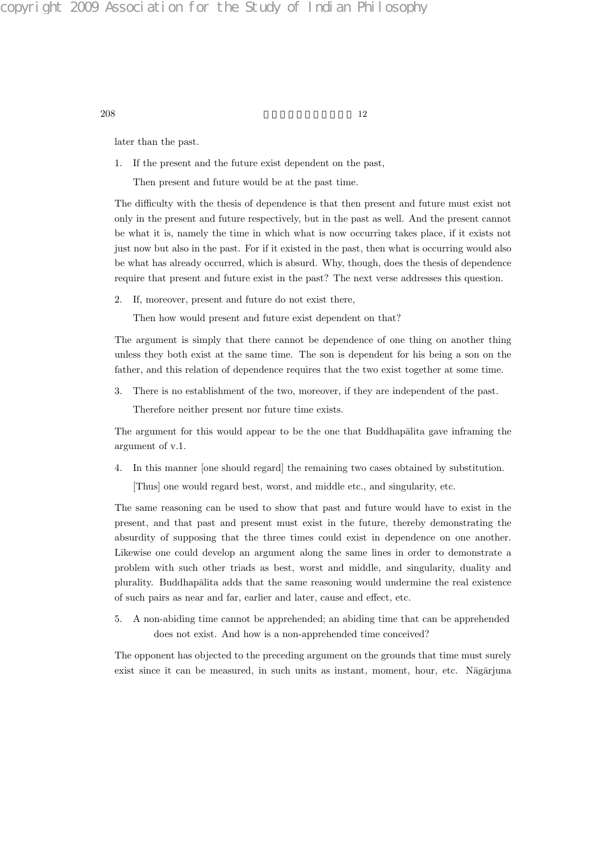later than the past.

1. If the present and the future exist dependent on the past,

Then present and future would be at the past time.

The difficulty with the thesis of dependence is that then present and future must exist not only in the present and future respectively, but in the past as well. And the present cannot be what it is, namely the time in which what is now occurring takes place, if it exists not just now but also in the past. For if it existed in the past, then what is occurring would also be what has already occurred, which is absurd. Why, though, does the thesis of dependence require that present and future exist in the past? The next verse addresses this question.

2. If, moreover, present and future do not exist there,

Then how would present and future exist dependent on that?

The argument is simply that there cannot be dependence of one thing on another thing unless they both exist at the same time. The son is dependent for his being a son on the father, and this relation of dependence requires that the two exist together at some time.

3. There is no establishment of the two, moreover, if they are independent of the past.

Therefore neither present nor future time exists.

The argument for this would appear to be the one that Buddhapalita gave inframing the argument of v.1.

4. In this manner [one should regard] the remaining two cases obtained by substitution.

[Thus] one would regard best, worst, and middle etc., and singularity, etc.

The same reasoning can be used to show that past and future would have to exist in the present, and that past and present must exist in the future, thereby demonstrating the absurdity of supposing that the three times could exist in dependence on one another. Likewise one could develop an argument along the same lines in order to demonstrate a problem with such other triads as best, worst and middle, and singularity, duality and plurality. Buddhapalita adds that the same reasoning would undermine the real existence of such pairs as near and far, earlier and later, cause and effect, etc.

5. A non-abiding time cannot be apprehended; an abiding time that can be apprehended does not exist. And how is a non-apprehended time conceived?

The opponent has objected to the preceding argument on the grounds that time must surely exist since it can be measured, in such units as instant, moment, hour, etc. Nagarjuna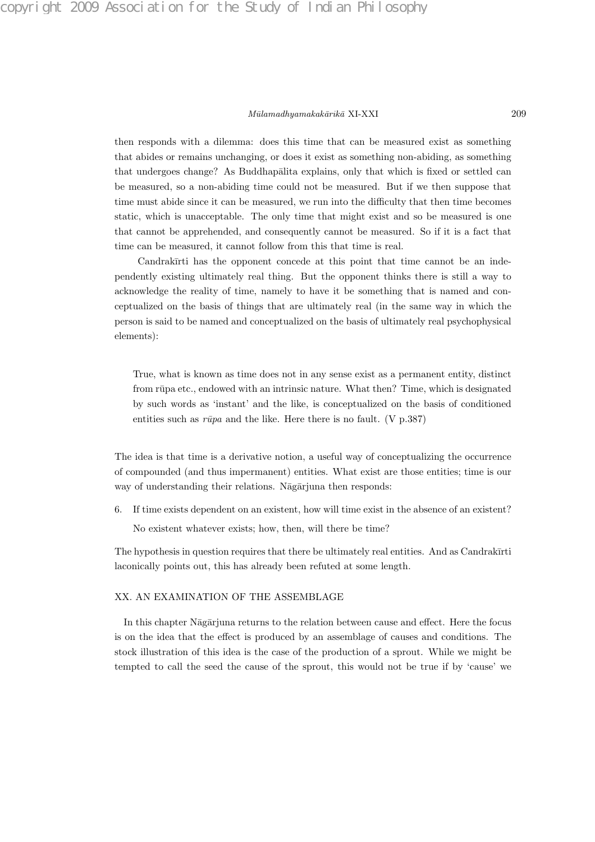## *M¯ulamadhyamakak¯arik¯a* XI-XXI 209

then responds with a dilemma: does this time that can be measured exist as something that abides or remains unchanging, or does it exist as something non-abiding, as something that undergoes change? As Buddhapalita explains, only that which is fixed or settled can be measured, so a non-abiding time could not be measured. But if we then suppose that time must abide since it can be measured, we run into the difficulty that then time becomes static, which is unacceptable. The only time that might exist and so be measured is one that cannot be apprehended, and consequently cannot be measured. So if it is a fact that time can be measured, it cannot follow from this that time is real.

Candrakūrti has the opponent concede at this point that time cannot be an independently existing ultimately real thing. But the opponent thinks there is still a way to acknowledge the reality of time, namely to have it be something that is named and conceptualized on the basis of things that are ultimately real (in the same way in which the person is said to be named and conceptualized on the basis of ultimately real psychophysical elements):

True, what is known as time does not in any sense exist as a permanent entity, distinct from rūpa etc., endowed with an intrinsic nature. What then? Time, which is designated by such words as 'instant' and the like, is conceptualized on the basis of conditioned entities such as  $r\bar{u}pa$  and the like. Here there is no fault. (V p.387)

The idea is that time is a derivative notion, a useful way of conceptualizing the occurrence of compounded (and thus impermanent) entities. What exist are those entities; time is our way of understanding their relations. Nāgārjuna then responds:

6. If time exists dependent on an existent, how will time exist in the absence of an existent? No existent whatever exists; how, then, will there be time?

The hypothesis in question requires that there be ultimately real entities. And as Candrakūrti laconically points out, this has already been refuted at some length.

## XX. AN EXAMINATION OF THE ASSEMBLAGE

In this chapter Nagarjuna returns to the relation between cause and effect. Here the focus is on the idea that the effect is produced by an assemblage of causes and conditions. The stock illustration of this idea is the case of the production of a sprout. While we might be tempted to call the seed the cause of the sprout, this would not be true if by 'cause' we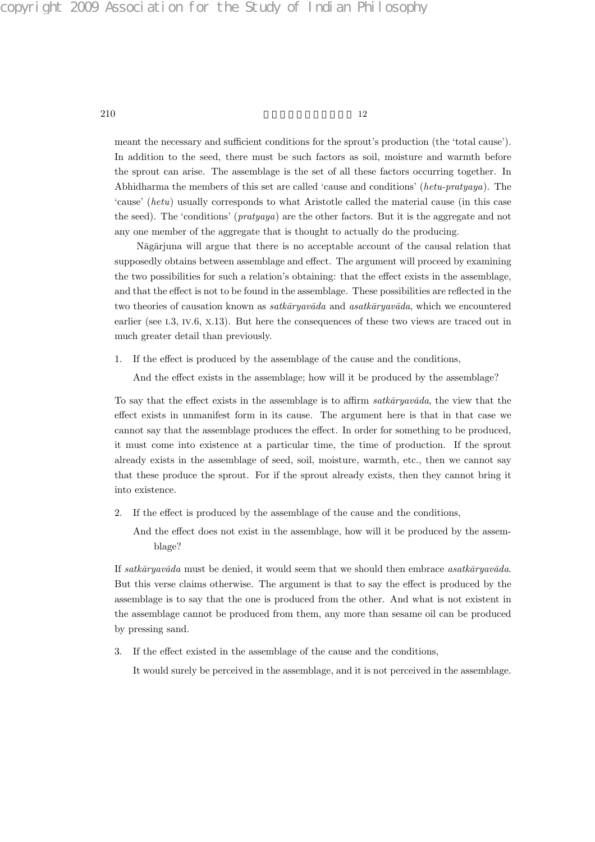meant the necessary and sufficient conditions for the sprout's production (the 'total cause'). In addition to the seed, there must be such factors as soil, moisture and warmth before the sprout can arise. The assemblage is the set of all these factors occurring together. In Abhidharma the members of this set are called 'cause and conditions' (*hetu-pratyaya*). The 'cause' (*hetu*) usually corresponds to what Aristotle called the material cause (in this case the seed). The 'conditions' (*pratyaya*) are the other factors. But it is the aggregate and not any one member of the aggregate that is thought to actually do the producing.

Nāgārjuna will argue that there is no acceptable account of the causal relation that supposedly obtains between assemblage and effect. The argument will proceed by examining the two possibilities for such a relation's obtaining: that the effect exists in the assemblage, and that the effect is not to be found in the assemblage. These possibilities are reflected in the two theories of causation known as *satk* $\bar{a}r\bar{a}a$  and *asatk* $\bar{a}r\bar{a}a\bar{a}d\bar{a}$ *, which we encountered* earlier (see I.3, IV.6, X.13). But here the consequences of these two views are traced out in much greater detail than previously.

1. If the effect is produced by the assemblage of the cause and the conditions,

And the effect exists in the assemblage; how will it be produced by the assemblage?

To say that the effect exists in the assemblage is to affirm *satkaryavada*, the view that the effect exists in unmanifest form in its cause. The argument here is that in that case we cannot say that the assemblage produces the effect. In order for something to be produced, it must come into existence at a particular time, the time of production. If the sprout already exists in the assemblage of seed, soil, moisture, warmth, etc., then we cannot say that these produce the sprout. For if the sprout already exists, then they cannot bring it into existence.

- 2. If the effect is produced by the assemblage of the cause and the conditions,
	- And the effect does not exist in the assemblage, how will it be produced by the assem- blage?

If *satk* $\bar{a}ryav\bar{a}da$  must be denied, it would seem that we should then embrace *asatk* $\bar{a}ryav\bar{a}da$ . But this verse claims otherwise. The argument is that to say the effect is produced by the assemblage is to say that the one is produced from the other. And what is not existent in the assemblage cannot be produced from them, any more than sesame oil can be produced by pressing sand.

3. If the effect existed in the assemblage of the cause and the conditions,

It would surely be perceived in the assemblage, and it is not perceived in the assemblage.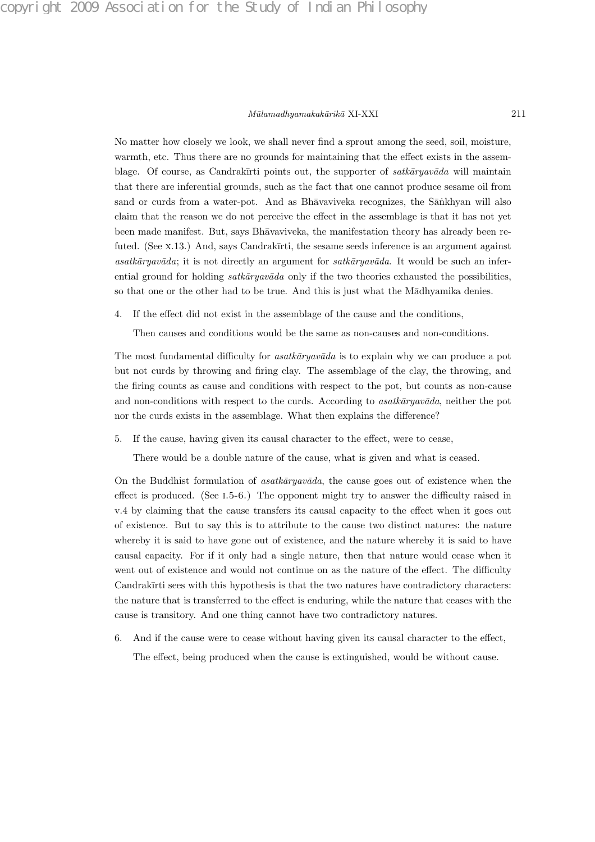## *M¯ulamadhyamakak¯arik¯a* XI-XXI 211

No matter how closely we look, we shall never find a sprout among the seed, soil, moisture, warmth, etc. Thus there are no grounds for maintaining that the effect exists in the assemblage. Of course, as Candrakūrti points out, the supporter of *satkavyavada* will maintain that there are inferential grounds, such as the fact that one cannot produce sesame oil from sand or curds from a water-pot. And as Bhavaviveka recognizes, the Sankhyan will also claim that the reason we do not perceive the effect in the assemblage is that it has not yet been made manifest. But, says Bhavaviveka, the manifestation theory has already been refuted. (See x.13.) And, says Candrakūrti, the sesame seeds inference is an argument against  $asatk\bar{a}ryav\bar{a}da$ ; it is not directly an argument for *satk* $\bar{a}ryav\bar{a}da$ . It would be such an inferential ground for holding *satkaryavada* only if the two theories exhausted the possibilities, so that one or the other had to be true. And this is just what the Madhyamika denies.

4. If the effect did not exist in the assemblage of the cause and the conditions,

Then causes and conditions would be the same as non-causes and non-conditions.

The most fundamental difficulty for *asatkaryavada* is to explain why we can produce a pot but not curds by throwing and firing clay. The assemblage of the clay, the throwing, and the firing counts as cause and conditions with respect to the pot, but counts as non-cause and non-conditions with respect to the curds. According to *asatk* $\bar{a}r_{\mu}$  *are* are the pot nor the curds exists in the assemblage. What then explains the difference?

5. If the cause, having given its causal character to the effect, were to cease,

There would be a double nature of the cause, what is given and what is ceased.

On the Buddhist formulation of *asatkāryavada*, the cause goes out of existence when the effect is produced. (See i.5-6.) The opponent might try to answer the difficulty raised in v.4 by claiming that the cause transfers its causal capacity to the effect when it goes out of existence. But to say this is to attribute to the cause two distinct natures: the nature whereby it is said to have gone out of existence, and the nature whereby it is said to have causal capacity. For if it only had a single nature, then that nature would cease when it went out of existence and would not continue on as the nature of the effect. The difficulty Candrak $\overline{\text{r}}$ rti sees with this hypothesis is that the two natures have contradictory characters: the nature that is transferred to the effect is enduring, while the nature that ceases with the cause is transitory. And one thing cannot have two contradictory natures.

6. And if the cause were to cease without having given its causal character to the effect, The effect, being produced when the cause is extinguished, would be without cause.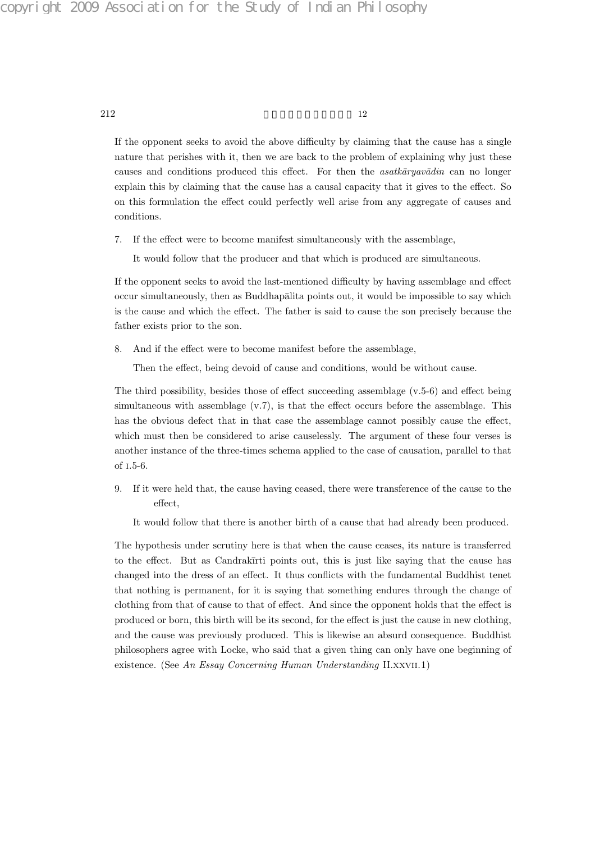If the opponent seeks to avoid the above difficulty by claiming that the cause has a single nature that perishes with it, then we are back to the problem of explaining why just these causes and conditions produced this effect. For then the *asatk* $\bar{a}r\bar{y}a\bar{v}\bar{a}d\bar{n}$  can no longer explain this by claiming that the cause has a causal capacity that it gives to the effect. So on this formulation the effect could perfectly well arise from any aggregate of causes and conditions.

7. If the effect were to become manifest simultaneously with the assemblage,

It would follow that the producer and that which is produced are simultaneous.

If the opponent seeks to avoid the last-mentioned difficulty by having assemblage and effect occur simultaneously, then as Buddhapalita points out, it would be impossible to say which is the cause and which the effect. The father is said to cause the son precisely because the father exists prior to the son.

8. And if the effect were to become manifest before the assemblage,

Then the effect, being devoid of cause and conditions, would be without cause.

The third possibility, besides those of effect succeeding assemblage (v.5-6) and effect being simultaneous with assemblage (v.7), is that the effect occurs before the assemblage. This has the obvious defect that in that case the assemblage cannot possibly cause the effect, which must then be considered to arise causelessly. The argument of these four verses is another instance of the three-times schema applied to the case of causation, parallel to that of i.5-6.

9. If it were held that, the cause having ceased, there were transference of the cause to the effect,

It would follow that there is another birth of a cause that had already been produced.

The hypothesis under scrutiny here is that when the cause ceases, its nature is transferred to the effect. But as Candrakūrti points out, this is just like saying that the cause has changed into the dress of an effect. It thus conflicts with the fundamental Buddhist tenet that nothing is permanent, for it is saying that something endures through the change of clothing from that of cause to that of effect. And since the opponent holds that the effect is produced or born, this birth will be its second, for the effect is just the cause in new clothing, and the cause was previously produced. This is likewise an absurd consequence. Buddhist philosophers agree with Locke, who said that a given thing can only have one beginning of existence. (See *An Essay Concerning Human Understanding* II.xxvii.1)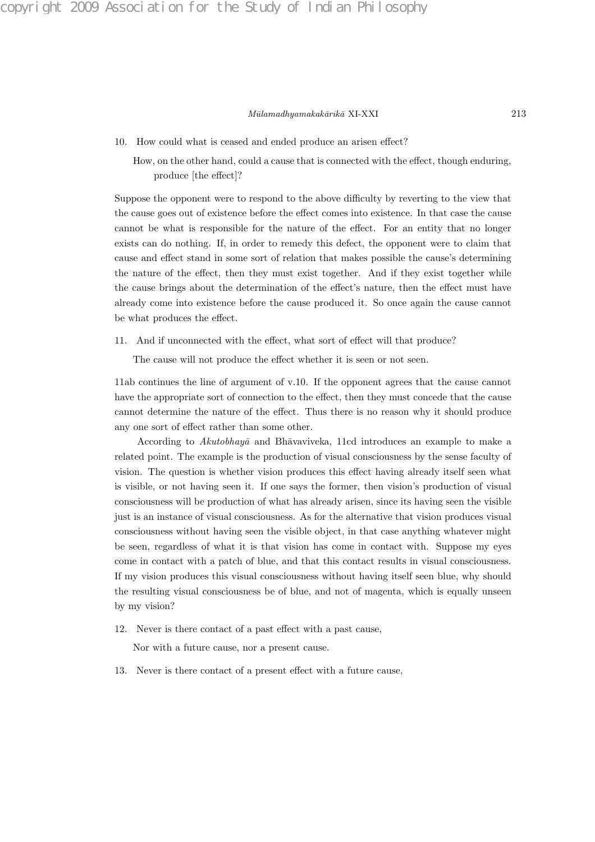10. How could what is ceased and ended produce an arisen effect?

How, on the other hand, could a cause that is connected with the effect, though enduring, produce [the effect]?

Suppose the opponent were to respond to the above difficulty by reverting to the view that the cause goes out of existence before the effect comes into existence. In that case the cause cannot be what is responsible for the nature of the effect. For an entity that no longer exists can do nothing. If, in order to remedy this defect, the opponent were to claim that cause and effect stand in some sort of relation that makes possible the cause's determining the nature of the effect, then they must exist together. And if they exist together while the cause brings about the determination of the effect's nature, then the effect must have already come into existence before the cause produced it. So once again the cause cannot be what produces the effect.

11. And if unconnected with the effect, what sort of effect will that produce?

The cause will not produce the effect whether it is seen or not seen.

11ab continues the line of argument of v.10. If the opponent agrees that the cause cannot have the appropriate sort of connection to the effect, then they must concede that the cause cannot determine the nature of the effect. Thus there is no reason why it should produce any one sort of effect rather than some other.

According to *Akutobhayā* and Bhāvaviveka, 11cd introduces an example to make a related point. The example is the production of visual consciousness by the sense faculty of vision. The question is whether vision produces this effect having already itself seen what is visible, or not having seen it. If one says the former, then vision's production of visual consciousness will be production of what has already arisen, since its having seen the visible just is an instance of visual consciousness. As for the alternative that vision produces visual consciousness without having seen the visible object, in that case anything whatever might be seen, regardless of what it is that vision has come in contact with. Suppose my eyes come in contact with a patch of blue, and that this contact results in visual consciousness. If my vision produces this visual consciousness without having itself seen blue, why should the resulting visual consciousness be of blue, and not of magenta, which is equally unseen by my vision?

12. Never is there contact of a past effect with a past cause,

Nor with a future cause, nor a present cause.

13. Never is there contact of a present effect with a future cause,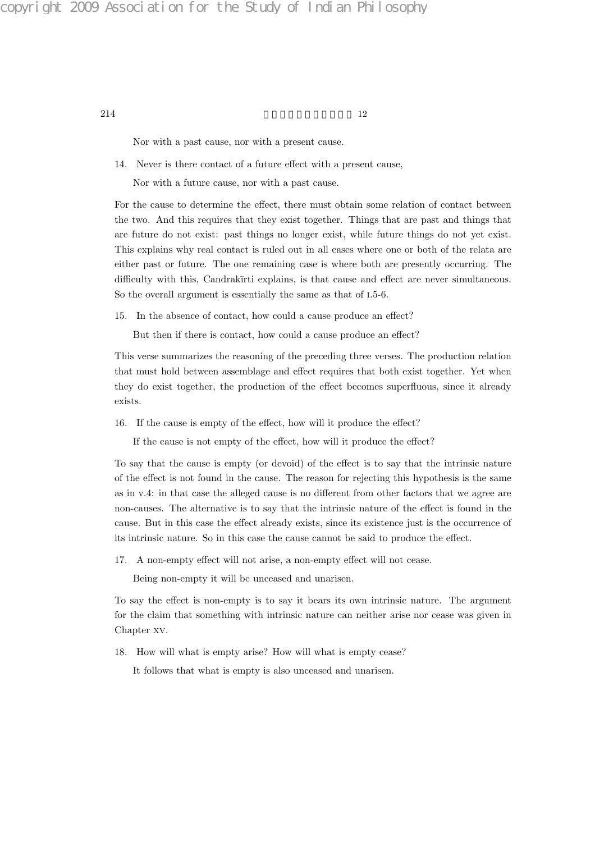Nor with a past cause, nor with a present cause.

14. Never is there contact of a future effect with a present cause,

Nor with a future cause, nor with a past cause.

For the cause to determine the effect, there must obtain some relation of contact between the two. And this requires that they exist together. Things that are past and things that are future do not exist: past things no longer exist, while future things do not yet exist. This explains why real contact is ruled out in all cases where one or both of the relata are either past or future. The one remaining case is where both are presently occurring. The difficulty with this, Candrakūrti explains, is that cause and effect are never simultaneous. So the overall argument is essentially the same as that of i.5-6.

15. In the absence of contact, how could a cause produce an effect?

But then if there is contact, how could a cause produce an effect?

This verse summarizes the reasoning of the preceding three verses. The production relation that must hold between assemblage and effect requires that both exist together. Yet when they do exist together, the production of the effect becomes superfluous, since it already exists.

16. If the cause is empty of the effect, how will it produce the effect?

If the cause is not empty of the effect, how will it produce the effect?

To say that the cause is empty (or devoid) of the effect is to say that the intrinsic nature of the effect is not found in the cause. The reason for rejecting this hypothesis is the same as in v.4: in that case the alleged cause is no different from other factors that we agree are non-causes. The alternative is to say that the intrinsic nature of the effect is found in the cause. But in this case the effect already exists, since its existence just is the occurrence of its intrinsic nature. So in this case the cause cannot be said to produce the effect.

17. A non-empty effect will not arise, a non-empty effect will not cease.

Being non-empty it will be unceased and unarisen.

To say the effect is non-empty is to say it bears its own intrinsic nature. The argument for the claim that something with intrinsic nature can neither arise nor cease was given in Chapter xv.

18. How will what is empty arise? How will what is empty cease?

It follows that what is empty is also unceased and unarisen.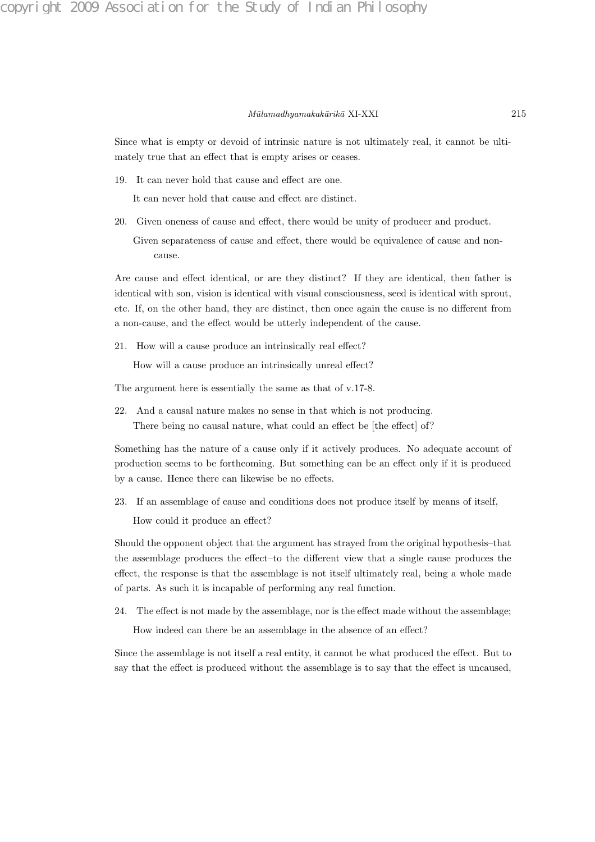## *M¯ulamadhyamakak¯arik¯a* XI-XXI 215

Since what is empty or devoid of intrinsic nature is not ultimately real, it cannot be ultimately true that an effect that is empty arises or ceases.

19. It can never hold that cause and effect are one.

It can never hold that cause and effect are distinct.

20. Given oneness of cause and effect, there would be unity of producer and product.

Given separateness of cause and effect, there would be equivalence of cause and non- cause.

Are cause and effect identical, or are they distinct? If they are identical, then father is identical with son, vision is identical with visual consciousness, seed is identical with sprout, etc. If, on the other hand, they are distinct, then once again the cause is no different from a non-cause, and the effect would be utterly independent of the cause.

21. How will a cause produce an intrinsically real effect?

How will a cause produce an intrinsically unreal effect?

The argument here is essentially the same as that of v.17-8.

22. And a causal nature makes no sense in that which is not producing. There being no causal nature, what could an effect be [the effect] of?

Something has the nature of a cause only if it actively produces. No adequate account of production seems to be forthcoming. But something can be an effect only if it is produced by a cause. Hence there can likewise be no effects.

23. If an assemblage of cause and conditions does not produce itself by means of itself,

How could it produce an effect?

Should the opponent object that the argument has strayed from the original hypothesis–that the assemblage produces the effect–to the different view that a single cause produces the effect, the response is that the assemblage is not itself ultimately real, being a whole made of parts. As such it is incapable of performing any real function.

24. The effect is not made by the assemblage, nor is the effect made without the assemblage;

How indeed can there be an assemblage in the absence of an effect?

Since the assemblage is not itself a real entity, it cannot be what produced the effect. But to say that the effect is produced without the assemblage is to say that the effect is uncaused,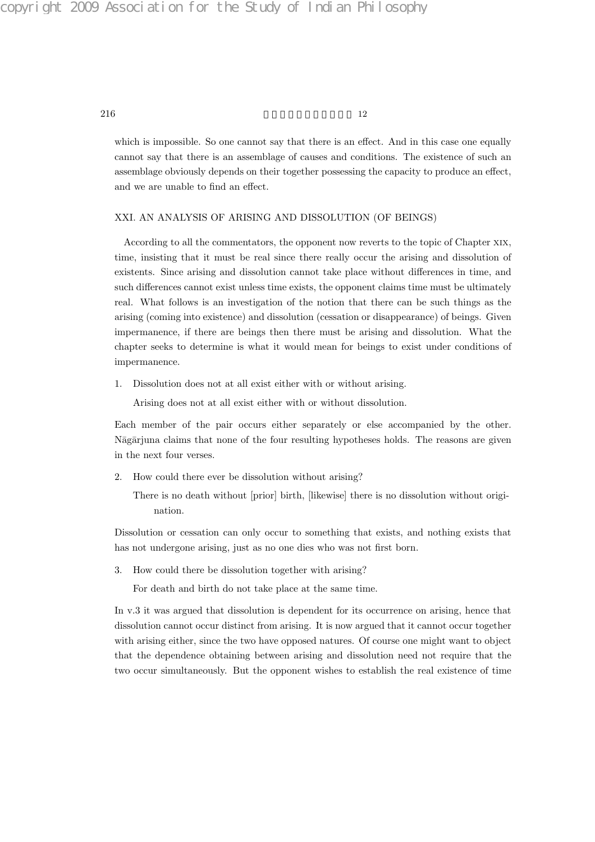which is impossible. So one cannot say that there is an effect. And in this case one equally cannot say that there is an assemblage of causes and conditions. The existence of such an assemblage obviously depends on their together possessing the capacity to produce an effect, and we are unable to find an effect.

## XXI. AN ANALYSIS OF ARISING AND DISSOLUTION (OF BEINGS)

According to all the commentators, the opponent now reverts to the topic of Chapter xix, time, insisting that it must be real since there really occur the arising and dissolution of existents. Since arising and dissolution cannot take place without differences in time, and such differences cannot exist unless time exists, the opponent claims time must be ultimately real. What follows is an investigation of the notion that there can be such things as the arising (coming into existence) and dissolution (cessation or disappearance) of beings. Given impermanence, if there are beings then there must be arising and dissolution. What the chapter seeks to determine is what it would mean for beings to exist under conditions of impermanence.

1. Dissolution does not at all exist either with or without arising.

Arising does not at all exist either with or without dissolution.

Each member of the pair occurs either separately or else accompanied by the other. Nāgārjuna claims that none of the four resulting hypotheses holds. The reasons are given in the next four verses.

- 2. How could there ever be dissolution without arising?
	- There is no death without [prior] birth, [likewise] there is no dissolution without origi- nation.

Dissolution or cessation can only occur to something that exists, and nothing exists that has not undergone arising, just as no one dies who was not first born.

3. How could there be dissolution together with arising?

For death and birth do not take place at the same time.

In v.3 it was argued that dissolution is dependent for its occurrence on arising, hence that dissolution cannot occur distinct from arising. It is now argued that it cannot occur together with arising either, since the two have opposed natures. Of course one might want to object that the dependence obtaining between arising and dissolution need not require that the two occur simultaneously. But the opponent wishes to establish the real existence of time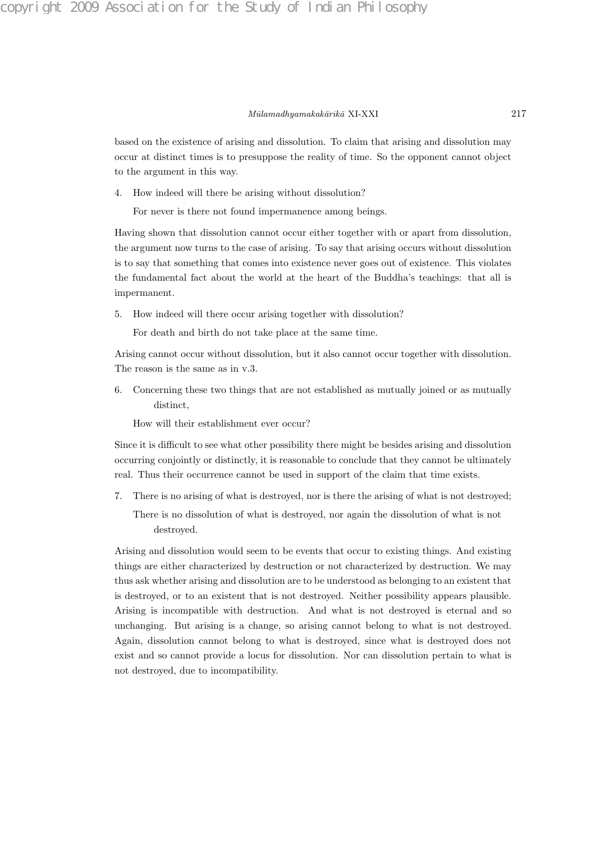based on the existence of arising and dissolution. To claim that arising and dissolution may occur at distinct times is to presuppose the reality of time. So the opponent cannot object to the argument in this way.

4. How indeed will there be arising without dissolution?

For never is there not found impermanence among beings.

Having shown that dissolution cannot occur either together with or apart from dissolution, the argument now turns to the case of arising. To say that arising occurs without dissolution is to say that something that comes into existence never goes out of existence. This violates the fundamental fact about the world at the heart of the Buddha's teachings: that all is impermanent.

5. How indeed will there occur arising together with dissolution?

For death and birth do not take place at the same time.

Arising cannot occur without dissolution, but it also cannot occur together with dissolution. The reason is the same as in v.3.

6. Concerning these two things that are not established as mutually joined or as mutually distinct,

How will their establishment ever occur?

Since it is difficult to see what other possibility there might be besides arising and dissolution occurring conjointly or distinctly, it is reasonable to conclude that they cannot be ultimately real. Thus their occurrence cannot be used in support of the claim that time exists.

7. There is no arising of what is destroyed, nor is there the arising of what is not destroyed;

There is no dissolution of what is destroyed, nor again the dissolution of what is not destroyed.

Arising and dissolution would seem to be events that occur to existing things. And existing things are either characterized by destruction or not characterized by destruction. We may thus ask whether arising and dissolution are to be understood as belonging to an existent that is destroyed, or to an existent that is not destroyed. Neither possibility appears plausible. Arising is incompatible with destruction. And what is not destroyed is eternal and so unchanging. But arising is a change, so arising cannot belong to what is not destroyed. Again, dissolution cannot belong to what is destroyed, since what is destroyed does not exist and so cannot provide a locus for dissolution. Nor can dissolution pertain to what is not destroyed, due to incompatibility.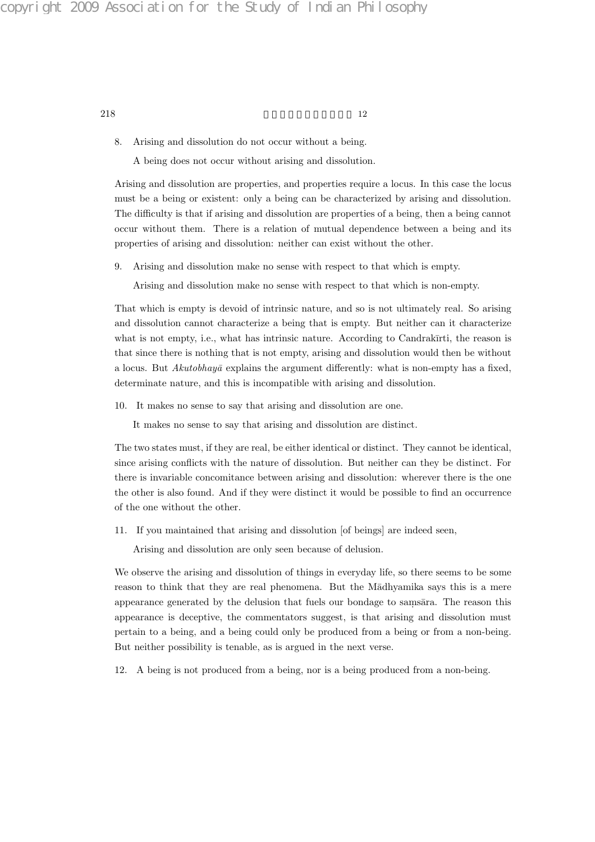8. Arising and dissolution do not occur without a being.

A being does not occur without arising and dissolution.

Arising and dissolution are properties, and properties require a locus. In this case the locus must be a being or existent: only a being can be characterized by arising and dissolution. The difficulty is that if arising and dissolution are properties of a being, then a being cannot occur without them. There is a relation of mutual dependence between a being and its properties of arising and dissolution: neither can exist without the other.

9. Arising and dissolution make no sense with respect to that which is empty.

Arising and dissolution make no sense with respect to that which is non-empty.

That which is empty is devoid of intrinsic nature, and so is not ultimately real. So arising and dissolution cannot characterize a being that is empty. But neither can it characterize what is not empty, i.e., what has intrinsic nature. According to Candrakūrti, the reason is that since there is nothing that is not empty, arising and dissolution would then be without a locus. But *Akutobhayā* explains the argument differently: what is non-empty has a fixed, determinate nature, and this is incompatible with arising and dissolution.

10. It makes no sense to say that arising and dissolution are one.

It makes no sense to say that arising and dissolution are distinct.

The two states must, if they are real, be either identical or distinct. They cannot be identical, since arising conflicts with the nature of dissolution. But neither can they be distinct. For there is invariable concomitance between arising and dissolution: wherever there is the one the other is also found. And if they were distinct it would be possible to find an occurrence of the one without the other.

11. If you maintained that arising and dissolution [of beings] are indeed seen,

Arising and dissolution are only seen because of delusion.

We observe the arising and dissolution of things in everyday life, so there seems to be some reason to think that they are real phenomena. But the Madhyamika says this is a mere appearance generated by the delusion that fuels our bondage to samsara. The reason this appearance is deceptive, the commentators suggest, is that arising and dissolution must pertain to a being, and a being could only be produced from a being or from a non-being. But neither possibility is tenable, as is argued in the next verse.

12. A being is not produced from a being, nor is a being produced from a non-being.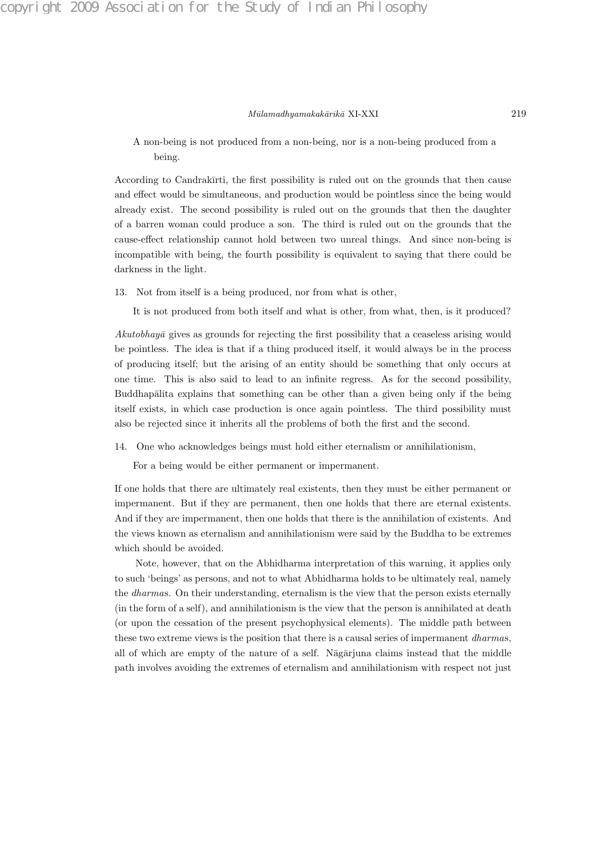## *M¯ulamadhyamakak¯arik¯a* XI-XXI 219

A non-being is not produced from a non-being, nor is a non-being produced from a being.

According to Candrakūrti, the first possibility is ruled out on the grounds that then cause and effect would be simultaneous, and production would be pointless since the being would already exist. The second possibility is ruled out on the grounds that then the daughter of a barren woman could produce a son. The third is ruled out on the grounds that the cause-effect relationship cannot hold between two unreal things. And since non-being is incompatible with being, the fourth possibility is equivalent to saying that there could be darkness in the light.

13. Not from itself is a being produced, nor from what is other,

It is not produced from both itself and what is other, from what, then, is it produced?

*Akutobhayā* gives as grounds for rejecting the first possibility that a ceaseless arising would be pointless. The idea is that if a thing produced itself, it would always be in the process of producing itself; but the arising of an entity should be something that only occurs at one time. This is also said to lead to an infinite regress. As for the second possibility, Buddhapālita explains that something can be other than a given being only if the being itself exists, in which case production is once again pointless. The third possibility must also be rejected since it inherits all the problems of both the first and the second.

14. One who acknowledges beings must hold either eternalism or annihilationism,

For a being would be either permanent or impermanent.

If one holds that there are ultimately real existents, then they must be either permanent or impermanent. But if they are permanent, then one holds that there are eternal existents. And if they are impermanent, then one holds that there is the annihilation of existents. And the views known as eternalism and annihilationism were said by the Buddha to be extremes which should be avoided.

 Note, however, that on the Abhidharma interpretation of this warning, it applies only to such 'beings' as persons, and not to what Abhidharma holds to be ultimately real, namely the *dharma*s. On their understanding, eternalism is the view that the person exists eternally (in the form of a self), and annihilationism is the view that the person is annihilated at death (or upon the cessation of the present psychophysical elements). The middle path between these two extreme views is the position that there is a causal series of impermanent *dharma*s, all of which are empty of the nature of a self. Nagarjuna claims instead that the middle path involves avoiding the extremes of eternalism and annihilationism with respect not just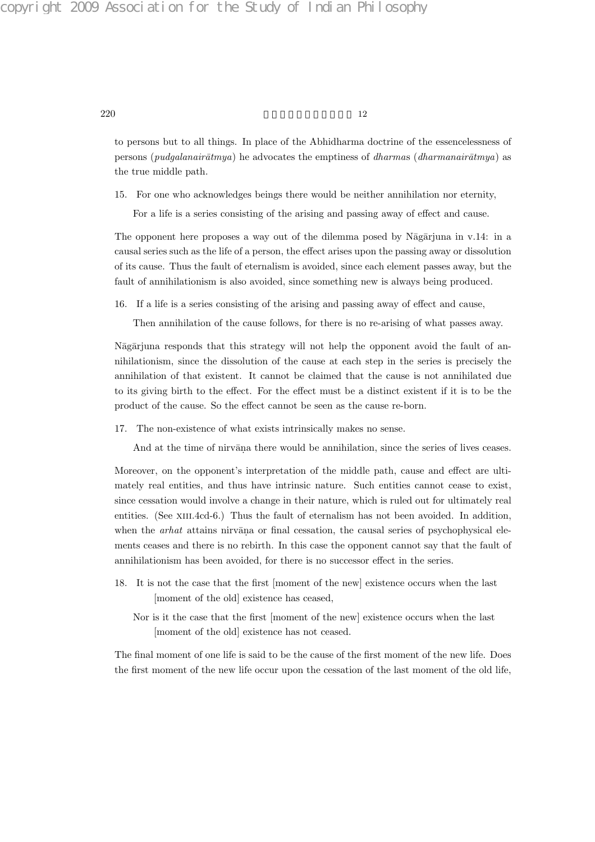to persons but to all things. In place of the Abhidharma doctrine of the essencelessness of persons (*pudgalanair¯atmya*) he advocates the emptiness of *dharma*s (*dharmanair¯atmya*) as the true middle path.

15. For one who acknowledges beings there would be neither annihilation nor eternity,

For a life is a series consisting of the arising and passing away of effect and cause.

The opponent here proposes a way out of the dilemma posed by  $Nāgārjuna$  in v.14: in a causal series such as the life of a person, the effect arises upon the passing away or dissolution of its cause. Thus the fault of eternalism is avoided, since each element passes away, but the fault of annihilationism is also avoided, since something new is always being produced.

16. If a life is a series consisting of the arising and passing away of effect and cause,

Then annihilation of the cause follows, for there is no re-arising of what passes away.

Nāgārjuna responds that this strategy will not help the opponent avoid the fault of annihilationism, since the dissolution of the cause at each step in the series is precisely the annihilation of that existent. It cannot be claimed that the cause is not annihilated due to its giving birth to the effect. For the effect must be a distinct existent if it is to be the product of the cause. So the effect cannot be seen as the cause re-born.

17. The non-existence of what exists intrinsically makes no sense.

And at the time of nirvana there would be annihilation, since the series of lives ceases.

Moreover, on the opponent's interpretation of the middle path, cause and effect are ultimately real entities, and thus have intrinsic nature. Such entities cannot cease to exist, since cessation would involve a change in their nature, which is ruled out for ultimately real entities. (See XIII.4cd-6.) Thus the fault of eternalism has not been avoided. In addition, when the *arhat* attains nirvan or final cessation, the causal series of psychophysical elements ceases and there is no rebirth. In this case the opponent cannot say that the fault of annihilationism has been avoided, for there is no successor effect in the series.

- 18. It is not the case that the first [moment of the new] existence occurs when the last [moment of the old] existence has ceased,
	- Nor is it the case that the first [moment of the new] existence occurs when the last [moment of the old] existence has not ceased.

The final moment of one life is said to be the cause of the first moment of the new life. Does the first moment of the new life occur upon the cessation of the last moment of the old life,